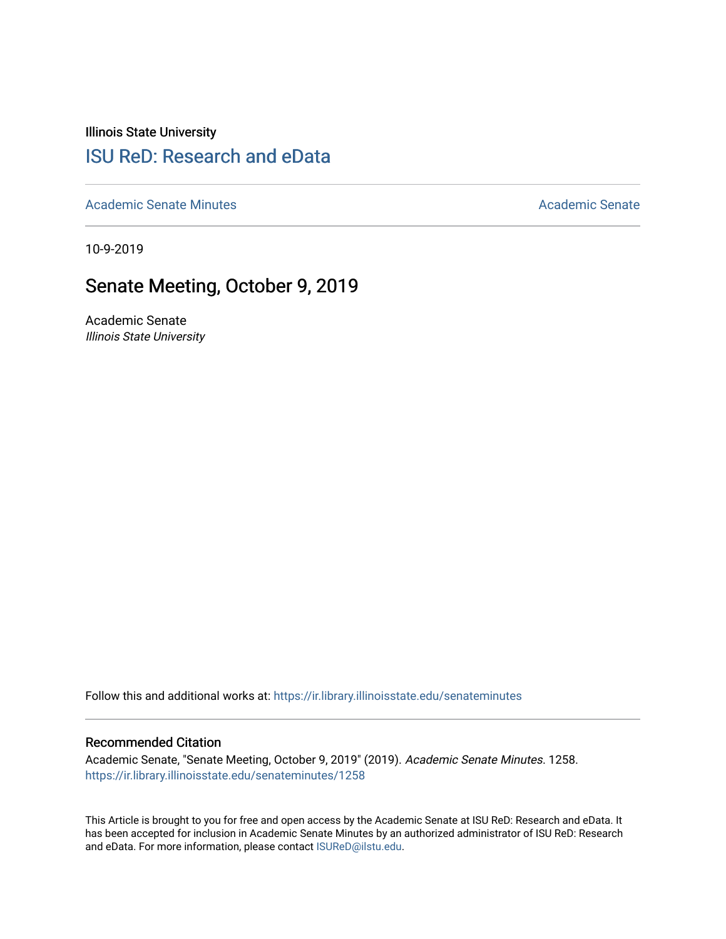Illinois State University

# [ISU ReD: Research and eData](https://ir.library.illinoisstate.edu/)

[Academic Senate Minutes](https://ir.library.illinoisstate.edu/senateminutes) [Academic Senate](https://ir.library.illinoisstate.edu/senate) Academic Senate

10-9-2019

# Senate Meeting, October 9, 2019

Academic Senate Illinois State University

Follow this and additional works at: [https://ir.library.illinoisstate.edu/senateminutes](https://ir.library.illinoisstate.edu/senateminutes?utm_source=ir.library.illinoisstate.edu%2Fsenateminutes%2F1258&utm_medium=PDF&utm_campaign=PDFCoverPages) 

#### Recommended Citation

Academic Senate, "Senate Meeting, October 9, 2019" (2019). Academic Senate Minutes. 1258. [https://ir.library.illinoisstate.edu/senateminutes/1258](https://ir.library.illinoisstate.edu/senateminutes/1258?utm_source=ir.library.illinoisstate.edu%2Fsenateminutes%2F1258&utm_medium=PDF&utm_campaign=PDFCoverPages)

This Article is brought to you for free and open access by the Academic Senate at ISU ReD: Research and eData. It has been accepted for inclusion in Academic Senate Minutes by an authorized administrator of ISU ReD: Research and eData. For more information, please contact [ISUReD@ilstu.edu.](mailto:ISUReD@ilstu.edu)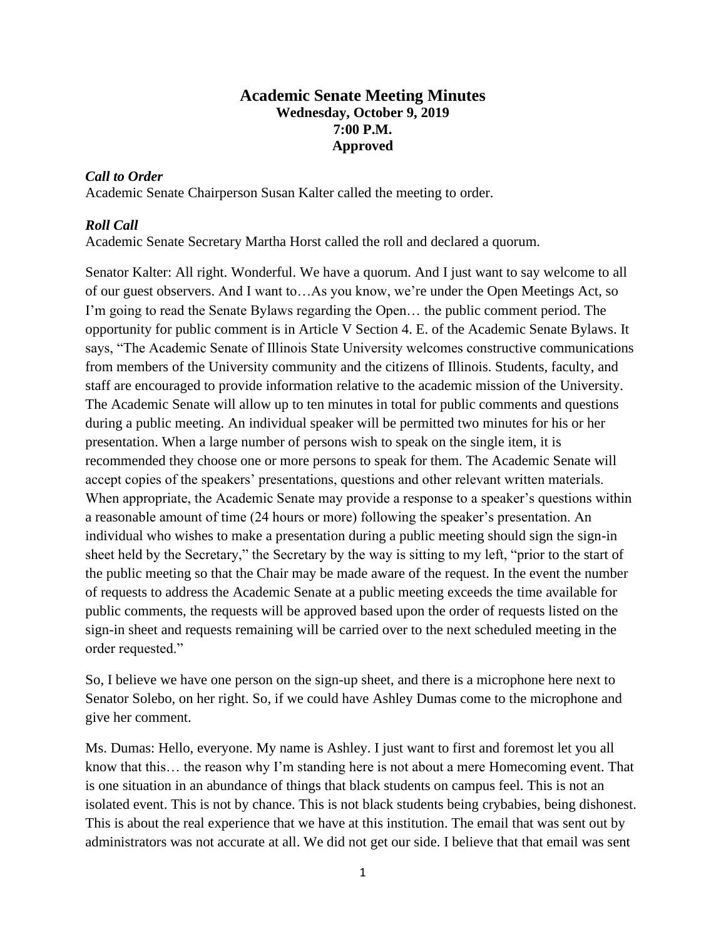# **Academic Senate Meeting Minutes Wednesday, October 9, 2019 7:00 P.M. Approved**

## *Call to Order*

Academic Senate Chairperson Susan Kalter called the meeting to order.

## *Roll Call*

Academic Senate Secretary Martha Horst called the roll and declared a quorum.

Senator Kalter: All right. Wonderful. We have a quorum. And I just want to say welcome to all of our guest observers. And I want to…As you know, we're under the Open Meetings Act, so I'm going to read the Senate Bylaws regarding the Open… the public comment period. The opportunity for public comment is in Article V Section 4. E. of the Academic Senate Bylaws. It says, "The Academic Senate of Illinois State University welcomes constructive communications from members of the University community and the citizens of Illinois. Students, faculty, and staff are encouraged to provide information relative to the academic mission of the University. The Academic Senate will allow up to ten minutes in total for public comments and questions during a public meeting. An individual speaker will be permitted two minutes for his or her presentation. When a large number of persons wish to speak on the single item, it is recommended they choose one or more persons to speak for them. The Academic Senate will accept copies of the speakers' presentations, questions and other relevant written materials. When appropriate, the Academic Senate may provide a response to a speaker's questions within a reasonable amount of time (24 hours or more) following the speaker's presentation. An individual who wishes to make a presentation during a public meeting should sign the sign-in sheet held by the Secretary," the Secretary by the way is sitting to my left, "prior to the start of the public meeting so that the Chair may be made aware of the request. In the event the number of requests to address the Academic Senate at a public meeting exceeds the time available for public comments, the requests will be approved based upon the order of requests listed on the sign-in sheet and requests remaining will be carried over to the next scheduled meeting in the order requested."

So, I believe we have one person on the sign-up sheet, and there is a microphone here next to Senator Solebo, on her right. So, if we could have Ashley Dumas come to the microphone and give her comment.

Ms. Dumas: Hello, everyone. My name is Ashley. I just want to first and foremost let you all know that this… the reason why I'm standing here is not about a mere Homecoming event. That is one situation in an abundance of things that black students on campus feel. This is not an isolated event. This is not by chance. This is not black students being crybabies, being dishonest. This is about the real experience that we have at this institution. The email that was sent out by administrators was not accurate at all. We did not get our side. I believe that that email was sent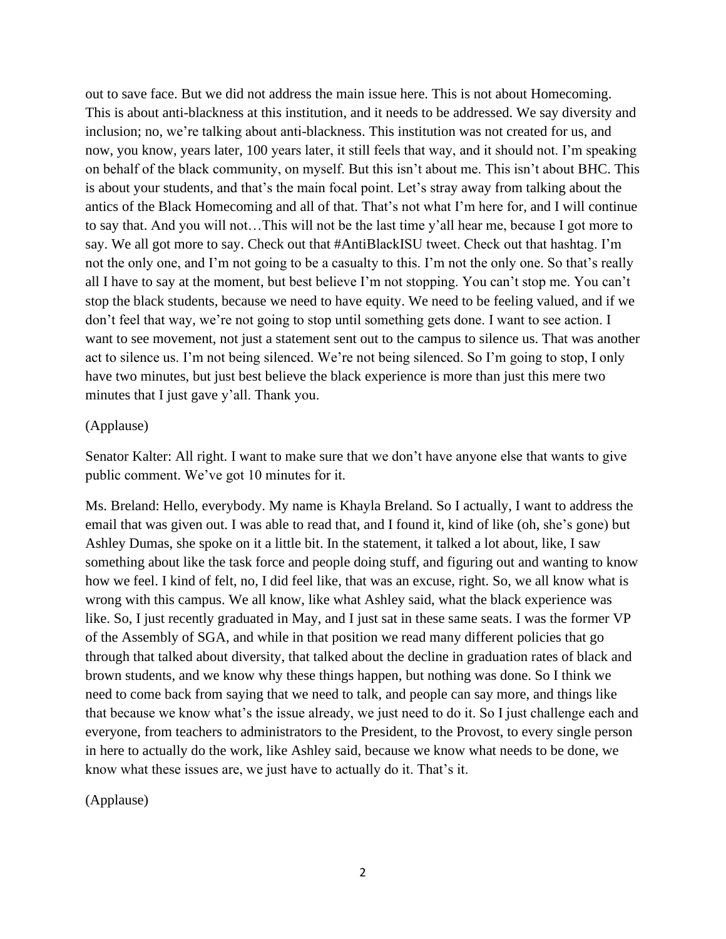out to save face. But we did not address the main issue here. This is not about Homecoming. This is about anti-blackness at this institution, and it needs to be addressed. We say diversity and inclusion; no, we're talking about anti-blackness. This institution was not created for us, and now, you know, years later, 100 years later, it still feels that way, and it should not. I'm speaking on behalf of the black community, on myself. But this isn't about me. This isn't about BHC. This is about your students, and that's the main focal point. Let's stray away from talking about the antics of the Black Homecoming and all of that. That's not what I'm here for, and I will continue to say that. And you will not…This will not be the last time y'all hear me, because I got more to say. We all got more to say. Check out that #AntiBlackISU tweet. Check out that hashtag. I'm not the only one, and I'm not going to be a casualty to this. I'm not the only one. So that's really all I have to say at the moment, but best believe I'm not stopping. You can't stop me. You can't stop the black students, because we need to have equity. We need to be feeling valued, and if we don't feel that way, we're not going to stop until something gets done. I want to see action. I want to see movement, not just a statement sent out to the campus to silence us. That was another act to silence us. I'm not being silenced. We're not being silenced. So I'm going to stop, I only have two minutes, but just best believe the black experience is more than just this mere two minutes that I just gave y'all. Thank you.

### (Applause)

Senator Kalter: All right. I want to make sure that we don't have anyone else that wants to give public comment. We've got 10 minutes for it.

Ms. Breland: Hello, everybody. My name is Khayla Breland. So I actually, I want to address the email that was given out. I was able to read that, and I found it, kind of like (oh, she's gone) but Ashley Dumas, she spoke on it a little bit. In the statement, it talked a lot about, like, I saw something about like the task force and people doing stuff, and figuring out and wanting to know how we feel. I kind of felt, no, I did feel like, that was an excuse, right. So, we all know what is wrong with this campus. We all know, like what Ashley said, what the black experience was like. So, I just recently graduated in May, and I just sat in these same seats. I was the former VP of the Assembly of SGA, and while in that position we read many different policies that go through that talked about diversity, that talked about the decline in graduation rates of black and brown students, and we know why these things happen, but nothing was done. So I think we need to come back from saying that we need to talk, and people can say more, and things like that because we know what's the issue already, we just need to do it. So I just challenge each and everyone, from teachers to administrators to the President, to the Provost, to every single person in here to actually do the work, like Ashley said, because we know what needs to be done, we know what these issues are, we just have to actually do it. That's it.

(Applause)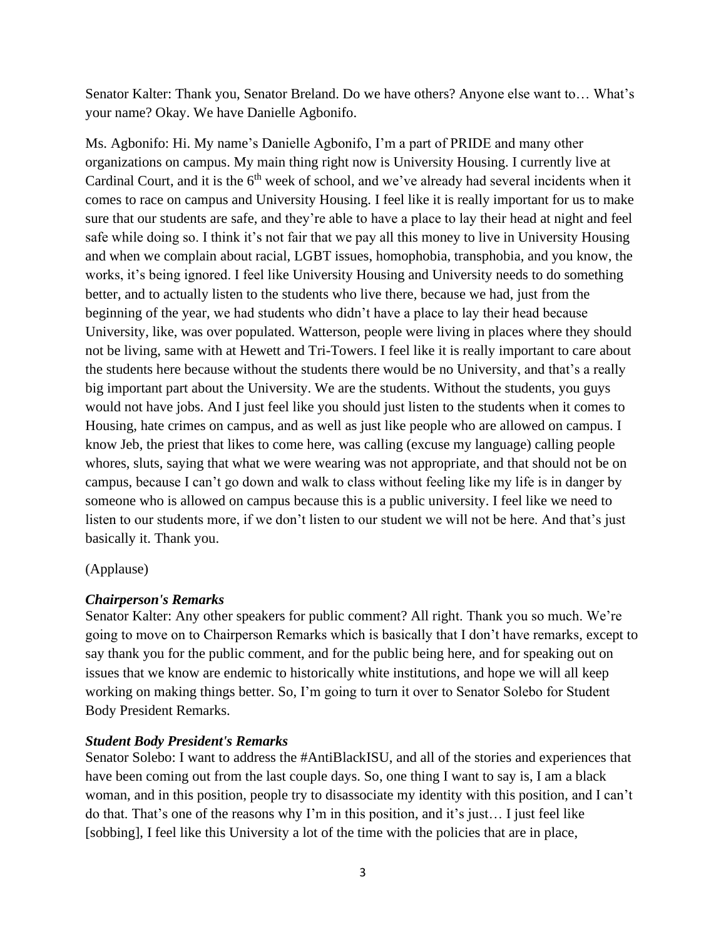Senator Kalter: Thank you, Senator Breland. Do we have others? Anyone else want to… What's your name? Okay. We have Danielle Agbonifo.

Ms. Agbonifo: Hi. My name's Danielle Agbonifo, I'm a part of PRIDE and many other organizations on campus. My main thing right now is University Housing. I currently live at Cardinal Court, and it is the  $6<sup>th</sup>$  week of school, and we've already had several incidents when it comes to race on campus and University Housing. I feel like it is really important for us to make sure that our students are safe, and they're able to have a place to lay their head at night and feel safe while doing so. I think it's not fair that we pay all this money to live in University Housing and when we complain about racial, LGBT issues, homophobia, transphobia, and you know, the works, it's being ignored. I feel like University Housing and University needs to do something better, and to actually listen to the students who live there, because we had, just from the beginning of the year, we had students who didn't have a place to lay their head because University, like, was over populated. Watterson, people were living in places where they should not be living, same with at Hewett and Tri-Towers. I feel like it is really important to care about the students here because without the students there would be no University, and that's a really big important part about the University. We are the students. Without the students, you guys would not have jobs. And I just feel like you should just listen to the students when it comes to Housing, hate crimes on campus, and as well as just like people who are allowed on campus. I know Jeb, the priest that likes to come here, was calling (excuse my language) calling people whores, sluts, saying that what we were wearing was not appropriate, and that should not be on campus, because I can't go down and walk to class without feeling like my life is in danger by someone who is allowed on campus because this is a public university. I feel like we need to listen to our students more, if we don't listen to our student we will not be here. And that's just basically it. Thank you.

### (Applause)

# *Chairperson's Remarks*

Senator Kalter: Any other speakers for public comment? All right. Thank you so much. We're going to move on to Chairperson Remarks which is basically that I don't have remarks, except to say thank you for the public comment, and for the public being here, and for speaking out on issues that we know are endemic to historically white institutions, and hope we will all keep working on making things better. So, I'm going to turn it over to Senator Solebo for Student Body President Remarks.

# *Student Body President's Remarks*

Senator Solebo: I want to address the #AntiBlackISU, and all of the stories and experiences that have been coming out from the last couple days. So, one thing I want to say is, I am a black woman, and in this position, people try to disassociate my identity with this position, and I can't do that. That's one of the reasons why I'm in this position, and it's just… I just feel like [sobbing], I feel like this University a lot of the time with the policies that are in place,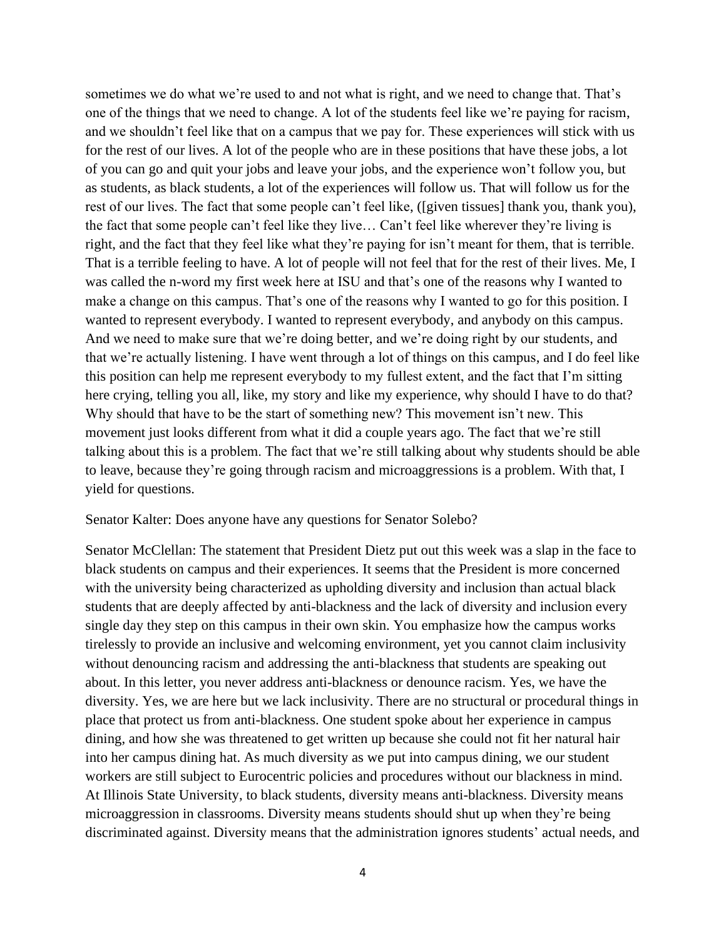sometimes we do what we're used to and not what is right, and we need to change that. That's one of the things that we need to change. A lot of the students feel like we're paying for racism, and we shouldn't feel like that on a campus that we pay for. These experiences will stick with us for the rest of our lives. A lot of the people who are in these positions that have these jobs, a lot of you can go and quit your jobs and leave your jobs, and the experience won't follow you, but as students, as black students, a lot of the experiences will follow us. That will follow us for the rest of our lives. The fact that some people can't feel like, ([given tissues] thank you, thank you), the fact that some people can't feel like they live… Can't feel like wherever they're living is right, and the fact that they feel like what they're paying for isn't meant for them, that is terrible. That is a terrible feeling to have. A lot of people will not feel that for the rest of their lives. Me, I was called the n-word my first week here at ISU and that's one of the reasons why I wanted to make a change on this campus. That's one of the reasons why I wanted to go for this position. I wanted to represent everybody. I wanted to represent everybody, and anybody on this campus. And we need to make sure that we're doing better, and we're doing right by our students, and that we're actually listening. I have went through a lot of things on this campus, and I do feel like this position can help me represent everybody to my fullest extent, and the fact that I'm sitting here crying, telling you all, like, my story and like my experience, why should I have to do that? Why should that have to be the start of something new? This movement isn't new. This movement just looks different from what it did a couple years ago. The fact that we're still talking about this is a problem. The fact that we're still talking about why students should be able to leave, because they're going through racism and microaggressions is a problem. With that, I yield for questions.

#### Senator Kalter: Does anyone have any questions for Senator Solebo?

Senator McClellan: The statement that President Dietz put out this week was a slap in the face to black students on campus and their experiences. It seems that the President is more concerned with the university being characterized as upholding diversity and inclusion than actual black students that are deeply affected by anti-blackness and the lack of diversity and inclusion every single day they step on this campus in their own skin. You emphasize how the campus works tirelessly to provide an inclusive and welcoming environment, yet you cannot claim inclusivity without denouncing racism and addressing the anti-blackness that students are speaking out about. In this letter, you never address anti-blackness or denounce racism. Yes, we have the diversity. Yes, we are here but we lack inclusivity. There are no structural or procedural things in place that protect us from anti-blackness. One student spoke about her experience in campus dining, and how she was threatened to get written up because she could not fit her natural hair into her campus dining hat. As much diversity as we put into campus dining, we our student workers are still subject to Eurocentric policies and procedures without our blackness in mind. At Illinois State University, to black students, diversity means anti-blackness. Diversity means microaggression in classrooms. Diversity means students should shut up when they're being discriminated against. Diversity means that the administration ignores students' actual needs, and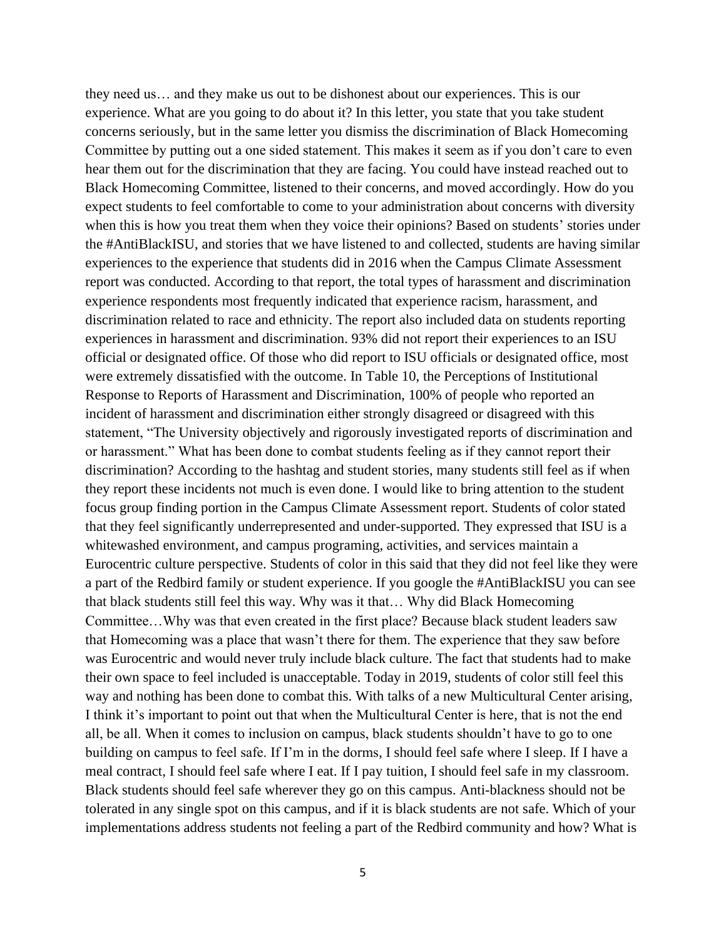they need us… and they make us out to be dishonest about our experiences. This is our experience. What are you going to do about it? In this letter, you state that you take student concerns seriously, but in the same letter you dismiss the discrimination of Black Homecoming Committee by putting out a one sided statement. This makes it seem as if you don't care to even hear them out for the discrimination that they are facing. You could have instead reached out to Black Homecoming Committee, listened to their concerns, and moved accordingly. How do you expect students to feel comfortable to come to your administration about concerns with diversity when this is how you treat them when they voice their opinions? Based on students' stories under the #AntiBlackISU, and stories that we have listened to and collected, students are having similar experiences to the experience that students did in 2016 when the Campus Climate Assessment report was conducted. According to that report, the total types of harassment and discrimination experience respondents most frequently indicated that experience racism, harassment, and discrimination related to race and ethnicity. The report also included data on students reporting experiences in harassment and discrimination. 93% did not report their experiences to an ISU official or designated office. Of those who did report to ISU officials or designated office, most were extremely dissatisfied with the outcome. In Table 10, the Perceptions of Institutional Response to Reports of Harassment and Discrimination, 100% of people who reported an incident of harassment and discrimination either strongly disagreed or disagreed with this statement, "The University objectively and rigorously investigated reports of discrimination and or harassment." What has been done to combat students feeling as if they cannot report their discrimination? According to the hashtag and student stories, many students still feel as if when they report these incidents not much is even done. I would like to bring attention to the student focus group finding portion in the Campus Climate Assessment report. Students of color stated that they feel significantly underrepresented and under-supported. They expressed that ISU is a whitewashed environment, and campus programing, activities, and services maintain a Eurocentric culture perspective. Students of color in this said that they did not feel like they were a part of the Redbird family or student experience. If you google the #AntiBlackISU you can see that black students still feel this way. Why was it that… Why did Black Homecoming Committee…Why was that even created in the first place? Because black student leaders saw that Homecoming was a place that wasn't there for them. The experience that they saw before was Eurocentric and would never truly include black culture. The fact that students had to make their own space to feel included is unacceptable. Today in 2019, students of color still feel this way and nothing has been done to combat this. With talks of a new Multicultural Center arising, I think it's important to point out that when the Multicultural Center is here, that is not the end all, be all. When it comes to inclusion on campus, black students shouldn't have to go to one building on campus to feel safe. If I'm in the dorms, I should feel safe where I sleep. If I have a meal contract, I should feel safe where I eat. If I pay tuition, I should feel safe in my classroom. Black students should feel safe wherever they go on this campus. Anti-blackness should not be tolerated in any single spot on this campus, and if it is black students are not safe. Which of your implementations address students not feeling a part of the Redbird community and how? What is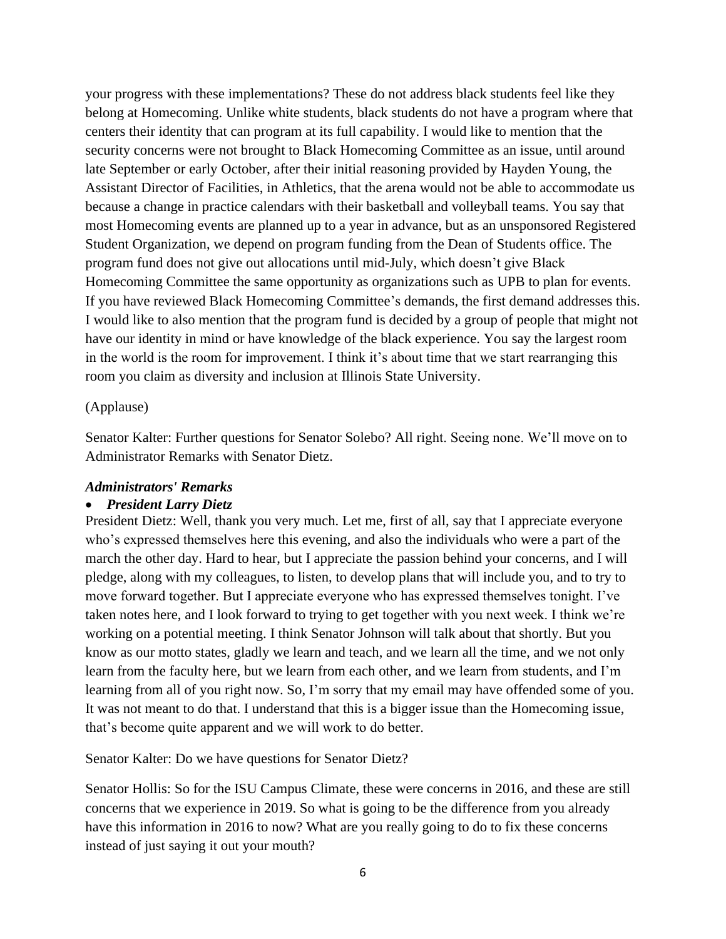your progress with these implementations? These do not address black students feel like they belong at Homecoming. Unlike white students, black students do not have a program where that centers their identity that can program at its full capability. I would like to mention that the security concerns were not brought to Black Homecoming Committee as an issue, until around late September or early October, after their initial reasoning provided by Hayden Young, the Assistant Director of Facilities, in Athletics, that the arena would not be able to accommodate us because a change in practice calendars with their basketball and volleyball teams. You say that most Homecoming events are planned up to a year in advance, but as an unsponsored Registered Student Organization, we depend on program funding from the Dean of Students office. The program fund does not give out allocations until mid-July, which doesn't give Black Homecoming Committee the same opportunity as organizations such as UPB to plan for events. If you have reviewed Black Homecoming Committee's demands, the first demand addresses this. I would like to also mention that the program fund is decided by a group of people that might not have our identity in mind or have knowledge of the black experience. You say the largest room in the world is the room for improvement. I think it's about time that we start rearranging this room you claim as diversity and inclusion at Illinois State University.

### (Applause)

Senator Kalter: Further questions for Senator Solebo? All right. Seeing none. We'll move on to Administrator Remarks with Senator Dietz.

#### *Administrators' Remarks*

#### • *President Larry Dietz*

President Dietz: Well, thank you very much. Let me, first of all, say that I appreciate everyone who's expressed themselves here this evening, and also the individuals who were a part of the march the other day. Hard to hear, but I appreciate the passion behind your concerns, and I will pledge, along with my colleagues, to listen, to develop plans that will include you, and to try to move forward together. But I appreciate everyone who has expressed themselves tonight. I've taken notes here, and I look forward to trying to get together with you next week. I think we're working on a potential meeting. I think Senator Johnson will talk about that shortly. But you know as our motto states, gladly we learn and teach, and we learn all the time, and we not only learn from the faculty here, but we learn from each other, and we learn from students, and I'm learning from all of you right now. So, I'm sorry that my email may have offended some of you. It was not meant to do that. I understand that this is a bigger issue than the Homecoming issue, that's become quite apparent and we will work to do better.

Senator Kalter: Do we have questions for Senator Dietz?

Senator Hollis: So for the ISU Campus Climate, these were concerns in 2016, and these are still concerns that we experience in 2019. So what is going to be the difference from you already have this information in 2016 to now? What are you really going to do to fix these concerns instead of just saying it out your mouth?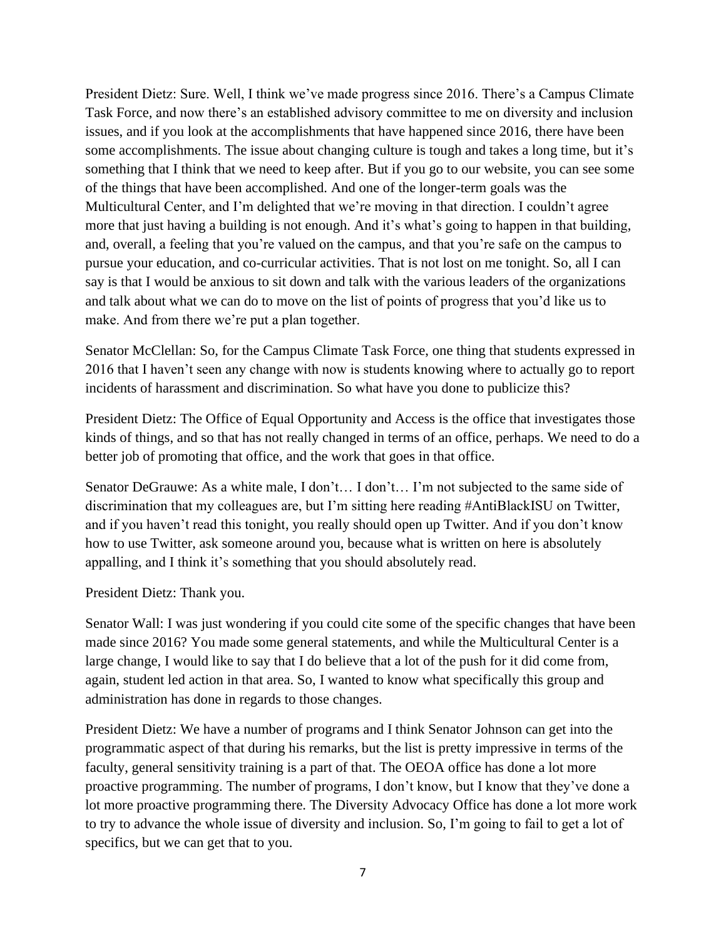President Dietz: Sure. Well, I think we've made progress since 2016. There's a Campus Climate Task Force, and now there's an established advisory committee to me on diversity and inclusion issues, and if you look at the accomplishments that have happened since 2016, there have been some accomplishments. The issue about changing culture is tough and takes a long time, but it's something that I think that we need to keep after. But if you go to our website, you can see some of the things that have been accomplished. And one of the longer-term goals was the Multicultural Center, and I'm delighted that we're moving in that direction. I couldn't agree more that just having a building is not enough. And it's what's going to happen in that building, and, overall, a feeling that you're valued on the campus, and that you're safe on the campus to pursue your education, and co-curricular activities. That is not lost on me tonight. So, all I can say is that I would be anxious to sit down and talk with the various leaders of the organizations and talk about what we can do to move on the list of points of progress that you'd like us to make. And from there we're put a plan together.

Senator McClellan: So, for the Campus Climate Task Force, one thing that students expressed in 2016 that I haven't seen any change with now is students knowing where to actually go to report incidents of harassment and discrimination. So what have you done to publicize this?

President Dietz: The Office of Equal Opportunity and Access is the office that investigates those kinds of things, and so that has not really changed in terms of an office, perhaps. We need to do a better job of promoting that office, and the work that goes in that office.

Senator DeGrauwe: As a white male, I don't… I don't… I'm not subjected to the same side of discrimination that my colleagues are, but I'm sitting here reading #AntiBlackISU on Twitter, and if you haven't read this tonight, you really should open up Twitter. And if you don't know how to use Twitter, ask someone around you, because what is written on here is absolutely appalling, and I think it's something that you should absolutely read.

President Dietz: Thank you.

Senator Wall: I was just wondering if you could cite some of the specific changes that have been made since 2016? You made some general statements, and while the Multicultural Center is a large change, I would like to say that I do believe that a lot of the push for it did come from, again, student led action in that area. So, I wanted to know what specifically this group and administration has done in regards to those changes.

President Dietz: We have a number of programs and I think Senator Johnson can get into the programmatic aspect of that during his remarks, but the list is pretty impressive in terms of the faculty, general sensitivity training is a part of that. The OEOA office has done a lot more proactive programming. The number of programs, I don't know, but I know that they've done a lot more proactive programming there. The Diversity Advocacy Office has done a lot more work to try to advance the whole issue of diversity and inclusion. So, I'm going to fail to get a lot of specifics, but we can get that to you.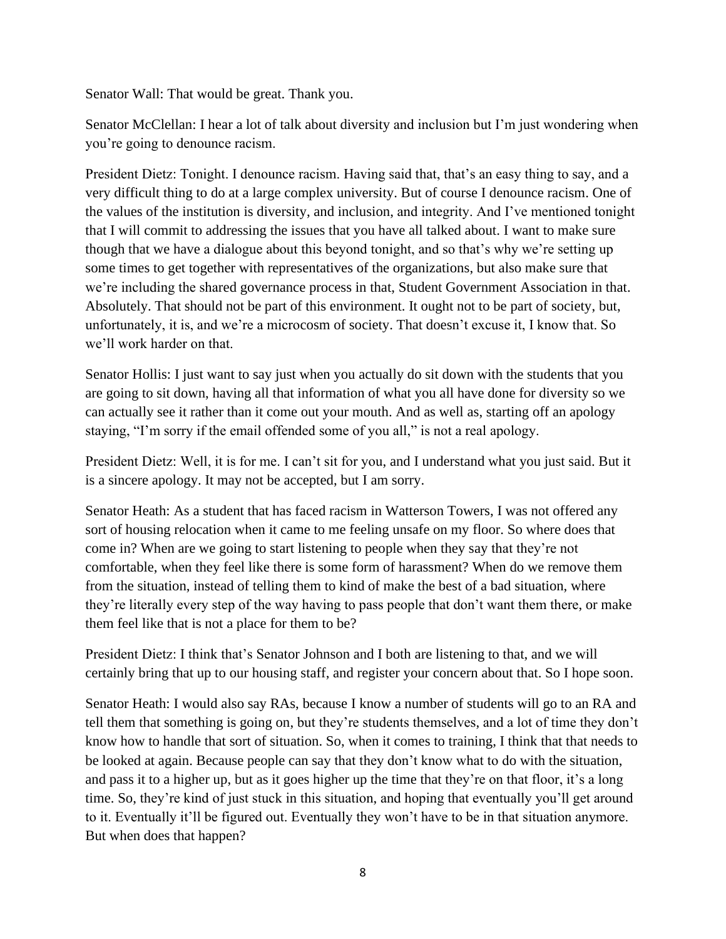Senator Wall: That would be great. Thank you.

Senator McClellan: I hear a lot of talk about diversity and inclusion but I'm just wondering when you're going to denounce racism.

President Dietz: Tonight. I denounce racism. Having said that, that's an easy thing to say, and a very difficult thing to do at a large complex university. But of course I denounce racism. One of the values of the institution is diversity, and inclusion, and integrity. And I've mentioned tonight that I will commit to addressing the issues that you have all talked about. I want to make sure though that we have a dialogue about this beyond tonight, and so that's why we're setting up some times to get together with representatives of the organizations, but also make sure that we're including the shared governance process in that, Student Government Association in that. Absolutely. That should not be part of this environment. It ought not to be part of society, but, unfortunately, it is, and we're a microcosm of society. That doesn't excuse it, I know that. So we'll work harder on that.

Senator Hollis: I just want to say just when you actually do sit down with the students that you are going to sit down, having all that information of what you all have done for diversity so we can actually see it rather than it come out your mouth. And as well as, starting off an apology staying, "I'm sorry if the email offended some of you all," is not a real apology.

President Dietz: Well, it is for me. I can't sit for you, and I understand what you just said. But it is a sincere apology. It may not be accepted, but I am sorry.

Senator Heath: As a student that has faced racism in Watterson Towers, I was not offered any sort of housing relocation when it came to me feeling unsafe on my floor. So where does that come in? When are we going to start listening to people when they say that they're not comfortable, when they feel like there is some form of harassment? When do we remove them from the situation, instead of telling them to kind of make the best of a bad situation, where they're literally every step of the way having to pass people that don't want them there, or make them feel like that is not a place for them to be?

President Dietz: I think that's Senator Johnson and I both are listening to that, and we will certainly bring that up to our housing staff, and register your concern about that. So I hope soon.

Senator Heath: I would also say RAs, because I know a number of students will go to an RA and tell them that something is going on, but they're students themselves, and a lot of time they don't know how to handle that sort of situation. So, when it comes to training, I think that that needs to be looked at again. Because people can say that they don't know what to do with the situation, and pass it to a higher up, but as it goes higher up the time that they're on that floor, it's a long time. So, they're kind of just stuck in this situation, and hoping that eventually you'll get around to it. Eventually it'll be figured out. Eventually they won't have to be in that situation anymore. But when does that happen?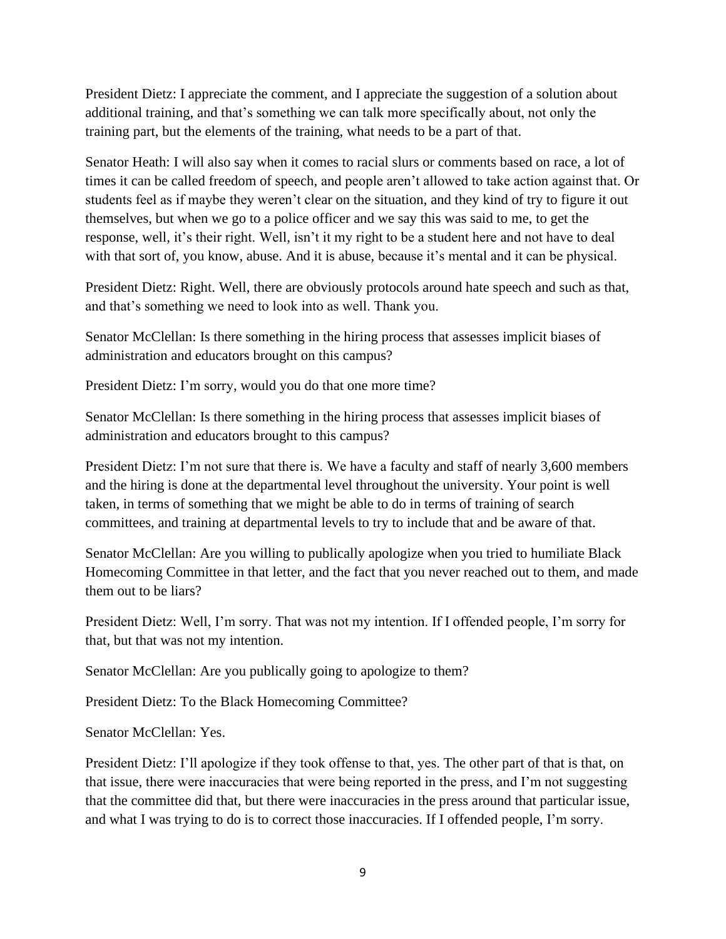President Dietz: I appreciate the comment, and I appreciate the suggestion of a solution about additional training, and that's something we can talk more specifically about, not only the training part, but the elements of the training, what needs to be a part of that.

Senator Heath: I will also say when it comes to racial slurs or comments based on race, a lot of times it can be called freedom of speech, and people aren't allowed to take action against that. Or students feel as if maybe they weren't clear on the situation, and they kind of try to figure it out themselves, but when we go to a police officer and we say this was said to me, to get the response, well, it's their right. Well, isn't it my right to be a student here and not have to deal with that sort of, you know, abuse. And it is abuse, because it's mental and it can be physical.

President Dietz: Right. Well, there are obviously protocols around hate speech and such as that, and that's something we need to look into as well. Thank you.

Senator McClellan: Is there something in the hiring process that assesses implicit biases of administration and educators brought on this campus?

President Dietz: I'm sorry, would you do that one more time?

Senator McClellan: Is there something in the hiring process that assesses implicit biases of administration and educators brought to this campus?

President Dietz: I'm not sure that there is. We have a faculty and staff of nearly 3,600 members and the hiring is done at the departmental level throughout the university. Your point is well taken, in terms of something that we might be able to do in terms of training of search committees, and training at departmental levels to try to include that and be aware of that.

Senator McClellan: Are you willing to publically apologize when you tried to humiliate Black Homecoming Committee in that letter, and the fact that you never reached out to them, and made them out to be liars?

President Dietz: Well, I'm sorry. That was not my intention. If I offended people, I'm sorry for that, but that was not my intention.

Senator McClellan: Are you publically going to apologize to them?

President Dietz: To the Black Homecoming Committee?

Senator McClellan: Yes.

President Dietz: I'll apologize if they took offense to that, yes. The other part of that is that, on that issue, there were inaccuracies that were being reported in the press, and I'm not suggesting that the committee did that, but there were inaccuracies in the press around that particular issue, and what I was trying to do is to correct those inaccuracies. If I offended people, I'm sorry.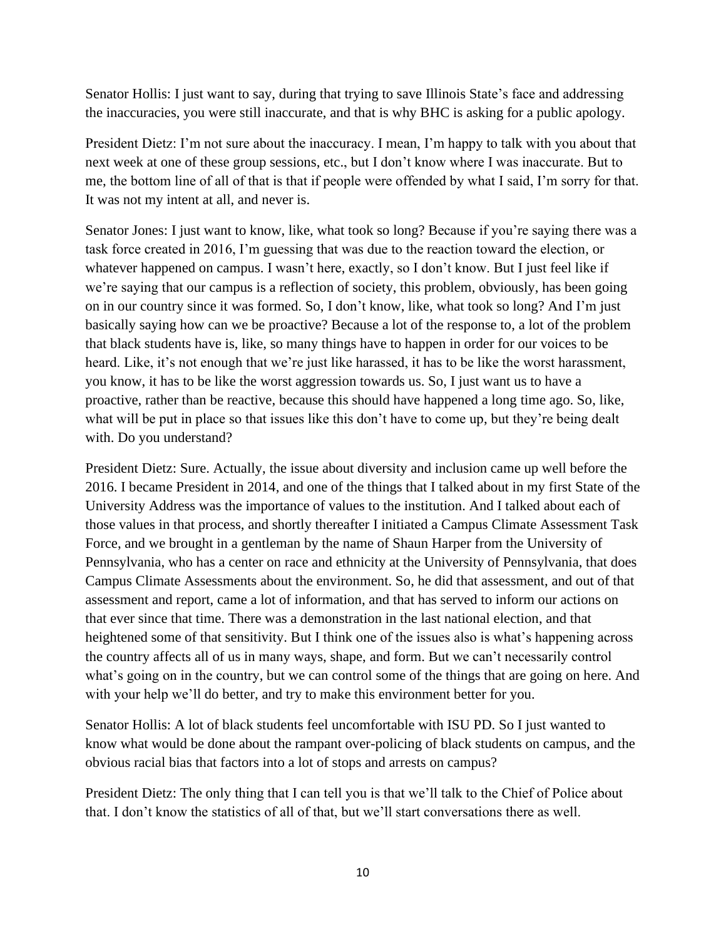Senator Hollis: I just want to say, during that trying to save Illinois State's face and addressing the inaccuracies, you were still inaccurate, and that is why BHC is asking for a public apology.

President Dietz: I'm not sure about the inaccuracy. I mean, I'm happy to talk with you about that next week at one of these group sessions, etc., but I don't know where I was inaccurate. But to me, the bottom line of all of that is that if people were offended by what I said, I'm sorry for that. It was not my intent at all, and never is.

Senator Jones: I just want to know, like, what took so long? Because if you're saying there was a task force created in 2016, I'm guessing that was due to the reaction toward the election, or whatever happened on campus. I wasn't here, exactly, so I don't know. But I just feel like if we're saying that our campus is a reflection of society, this problem, obviously, has been going on in our country since it was formed. So, I don't know, like, what took so long? And I'm just basically saying how can we be proactive? Because a lot of the response to, a lot of the problem that black students have is, like, so many things have to happen in order for our voices to be heard. Like, it's not enough that we're just like harassed, it has to be like the worst harassment, you know, it has to be like the worst aggression towards us. So, I just want us to have a proactive, rather than be reactive, because this should have happened a long time ago. So, like, what will be put in place so that issues like this don't have to come up, but they're being dealt with. Do you understand?

President Dietz: Sure. Actually, the issue about diversity and inclusion came up well before the 2016. I became President in 2014, and one of the things that I talked about in my first State of the University Address was the importance of values to the institution. And I talked about each of those values in that process, and shortly thereafter I initiated a Campus Climate Assessment Task Force, and we brought in a gentleman by the name of Shaun Harper from the University of Pennsylvania, who has a center on race and ethnicity at the University of Pennsylvania, that does Campus Climate Assessments about the environment. So, he did that assessment, and out of that assessment and report, came a lot of information, and that has served to inform our actions on that ever since that time. There was a demonstration in the last national election, and that heightened some of that sensitivity. But I think one of the issues also is what's happening across the country affects all of us in many ways, shape, and form. But we can't necessarily control what's going on in the country, but we can control some of the things that are going on here. And with your help we'll do better, and try to make this environment better for you.

Senator Hollis: A lot of black students feel uncomfortable with ISU PD. So I just wanted to know what would be done about the rampant over-policing of black students on campus, and the obvious racial bias that factors into a lot of stops and arrests on campus?

President Dietz: The only thing that I can tell you is that we'll talk to the Chief of Police about that. I don't know the statistics of all of that, but we'll start conversations there as well.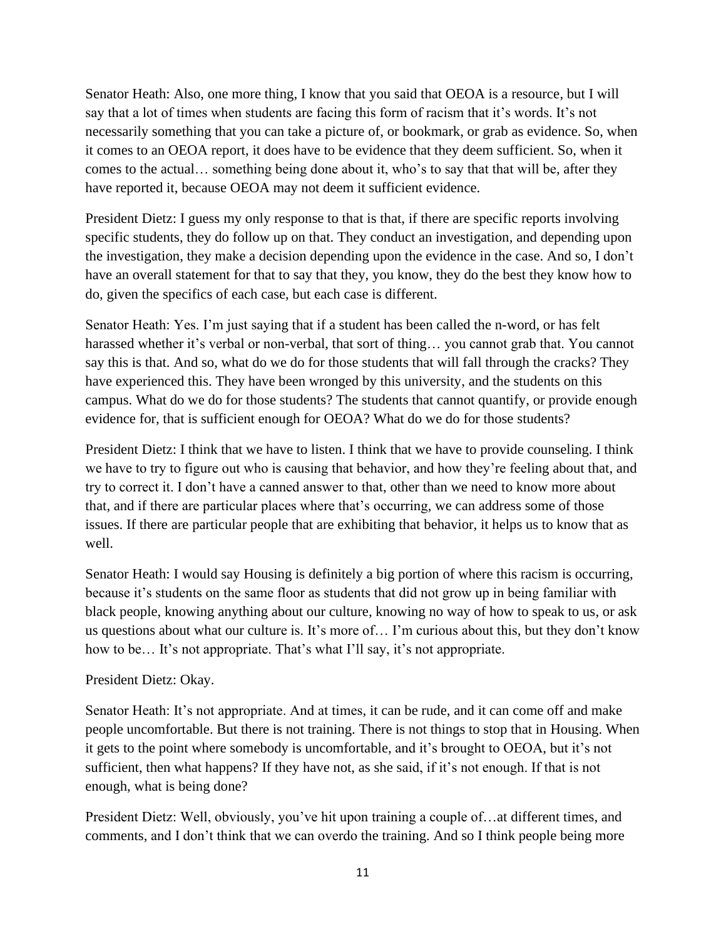Senator Heath: Also, one more thing, I know that you said that OEOA is a resource, but I will say that a lot of times when students are facing this form of racism that it's words. It's not necessarily something that you can take a picture of, or bookmark, or grab as evidence. So, when it comes to an OEOA report, it does have to be evidence that they deem sufficient. So, when it comes to the actual… something being done about it, who's to say that that will be, after they have reported it, because OEOA may not deem it sufficient evidence.

President Dietz: I guess my only response to that is that, if there are specific reports involving specific students, they do follow up on that. They conduct an investigation, and depending upon the investigation, they make a decision depending upon the evidence in the case. And so, I don't have an overall statement for that to say that they, you know, they do the best they know how to do, given the specifics of each case, but each case is different.

Senator Heath: Yes. I'm just saying that if a student has been called the n-word, or has felt harassed whether it's verbal or non-verbal, that sort of thing… you cannot grab that. You cannot say this is that. And so, what do we do for those students that will fall through the cracks? They have experienced this. They have been wronged by this university, and the students on this campus. What do we do for those students? The students that cannot quantify, or provide enough evidence for, that is sufficient enough for OEOA? What do we do for those students?

President Dietz: I think that we have to listen. I think that we have to provide counseling. I think we have to try to figure out who is causing that behavior, and how they're feeling about that, and try to correct it. I don't have a canned answer to that, other than we need to know more about that, and if there are particular places where that's occurring, we can address some of those issues. If there are particular people that are exhibiting that behavior, it helps us to know that as well.

Senator Heath: I would say Housing is definitely a big portion of where this racism is occurring, because it's students on the same floor as students that did not grow up in being familiar with black people, knowing anything about our culture, knowing no way of how to speak to us, or ask us questions about what our culture is. It's more of… I'm curious about this, but they don't know how to be... It's not appropriate. That's what I'll say, it's not appropriate.

### President Dietz: Okay.

Senator Heath: It's not appropriate. And at times, it can be rude, and it can come off and make people uncomfortable. But there is not training. There is not things to stop that in Housing. When it gets to the point where somebody is uncomfortable, and it's brought to OEOA, but it's not sufficient, then what happens? If they have not, as she said, if it's not enough. If that is not enough, what is being done?

President Dietz: Well, obviously, you've hit upon training a couple of…at different times, and comments, and I don't think that we can overdo the training. And so I think people being more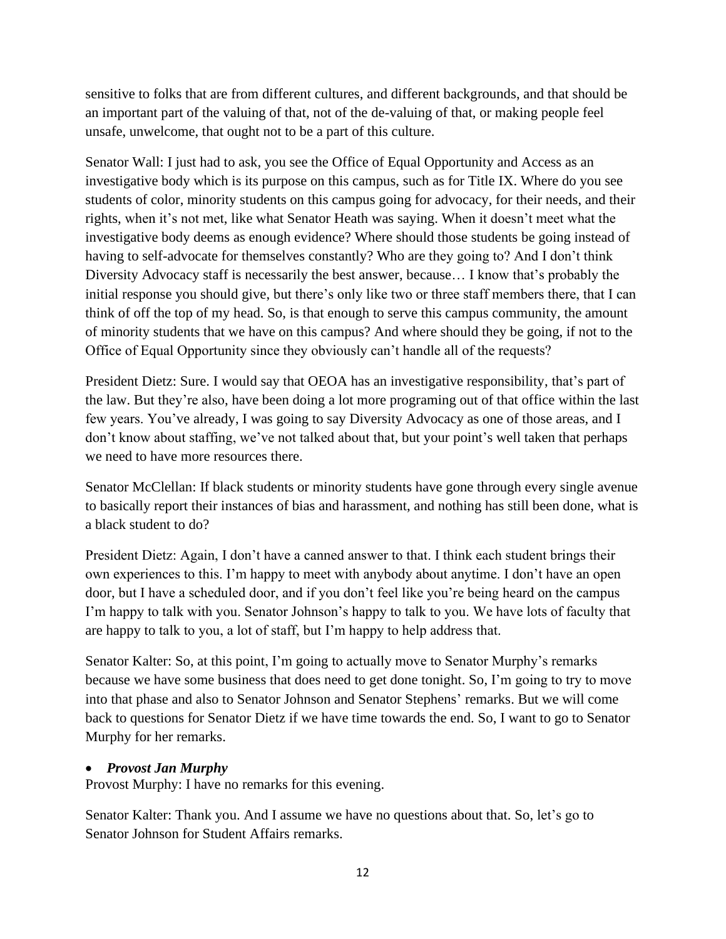sensitive to folks that are from different cultures, and different backgrounds, and that should be an important part of the valuing of that, not of the de-valuing of that, or making people feel unsafe, unwelcome, that ought not to be a part of this culture.

Senator Wall: I just had to ask, you see the Office of Equal Opportunity and Access as an investigative body which is its purpose on this campus, such as for Title IX. Where do you see students of color, minority students on this campus going for advocacy, for their needs, and their rights, when it's not met, like what Senator Heath was saying. When it doesn't meet what the investigative body deems as enough evidence? Where should those students be going instead of having to self-advocate for themselves constantly? Who are they going to? And I don't think Diversity Advocacy staff is necessarily the best answer, because… I know that's probably the initial response you should give, but there's only like two or three staff members there, that I can think of off the top of my head. So, is that enough to serve this campus community, the amount of minority students that we have on this campus? And where should they be going, if not to the Office of Equal Opportunity since they obviously can't handle all of the requests?

President Dietz: Sure. I would say that OEOA has an investigative responsibility, that's part of the law. But they're also, have been doing a lot more programing out of that office within the last few years. You've already, I was going to say Diversity Advocacy as one of those areas, and I don't know about staffing, we've not talked about that, but your point's well taken that perhaps we need to have more resources there.

Senator McClellan: If black students or minority students have gone through every single avenue to basically report their instances of bias and harassment, and nothing has still been done, what is a black student to do?

President Dietz: Again, I don't have a canned answer to that. I think each student brings their own experiences to this. I'm happy to meet with anybody about anytime. I don't have an open door, but I have a scheduled door, and if you don't feel like you're being heard on the campus I'm happy to talk with you. Senator Johnson's happy to talk to you. We have lots of faculty that are happy to talk to you, a lot of staff, but I'm happy to help address that.

Senator Kalter: So, at this point, I'm going to actually move to Senator Murphy's remarks because we have some business that does need to get done tonight. So, I'm going to try to move into that phase and also to Senator Johnson and Senator Stephens' remarks. But we will come back to questions for Senator Dietz if we have time towards the end. So, I want to go to Senator Murphy for her remarks.

# • *Provost Jan Murphy*

Provost Murphy: I have no remarks for this evening.

Senator Kalter: Thank you. And I assume we have no questions about that. So, let's go to Senator Johnson for Student Affairs remarks.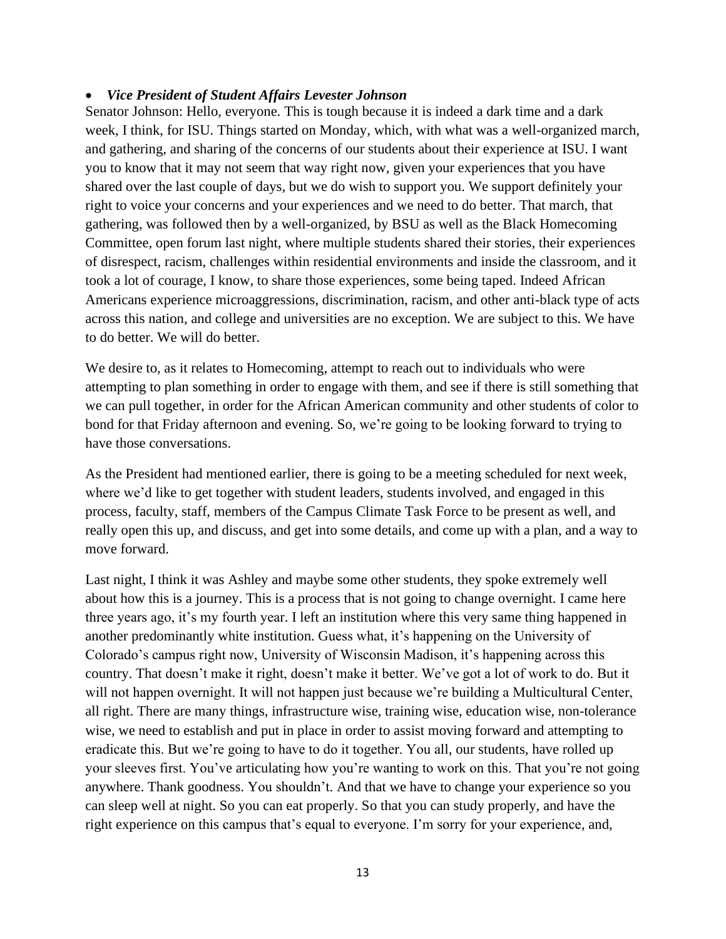### • *Vice President of Student Affairs Levester Johnson*

Senator Johnson: Hello, everyone. This is tough because it is indeed a dark time and a dark week, I think, for ISU. Things started on Monday, which, with what was a well-organized march, and gathering, and sharing of the concerns of our students about their experience at ISU. I want you to know that it may not seem that way right now, given your experiences that you have shared over the last couple of days, but we do wish to support you. We support definitely your right to voice your concerns and your experiences and we need to do better. That march, that gathering, was followed then by a well-organized, by BSU as well as the Black Homecoming Committee, open forum last night, where multiple students shared their stories, their experiences of disrespect, racism, challenges within residential environments and inside the classroom, and it took a lot of courage, I know, to share those experiences, some being taped. Indeed African Americans experience microaggressions, discrimination, racism, and other anti-black type of acts across this nation, and college and universities are no exception. We are subject to this. We have to do better. We will do better.

We desire to, as it relates to Homecoming, attempt to reach out to individuals who were attempting to plan something in order to engage with them, and see if there is still something that we can pull together, in order for the African American community and other students of color to bond for that Friday afternoon and evening. So, we're going to be looking forward to trying to have those conversations.

As the President had mentioned earlier, there is going to be a meeting scheduled for next week, where we'd like to get together with student leaders, students involved, and engaged in this process, faculty, staff, members of the Campus Climate Task Force to be present as well, and really open this up, and discuss, and get into some details, and come up with a plan, and a way to move forward.

Last night, I think it was Ashley and maybe some other students, they spoke extremely well about how this is a journey. This is a process that is not going to change overnight. I came here three years ago, it's my fourth year. I left an institution where this very same thing happened in another predominantly white institution. Guess what, it's happening on the University of Colorado's campus right now, University of Wisconsin Madison, it's happening across this country. That doesn't make it right, doesn't make it better. We've got a lot of work to do. But it will not happen overnight. It will not happen just because we're building a Multicultural Center, all right. There are many things, infrastructure wise, training wise, education wise, non-tolerance wise, we need to establish and put in place in order to assist moving forward and attempting to eradicate this. But we're going to have to do it together. You all, our students, have rolled up your sleeves first. You've articulating how you're wanting to work on this. That you're not going anywhere. Thank goodness. You shouldn't. And that we have to change your experience so you can sleep well at night. So you can eat properly. So that you can study properly, and have the right experience on this campus that's equal to everyone. I'm sorry for your experience, and,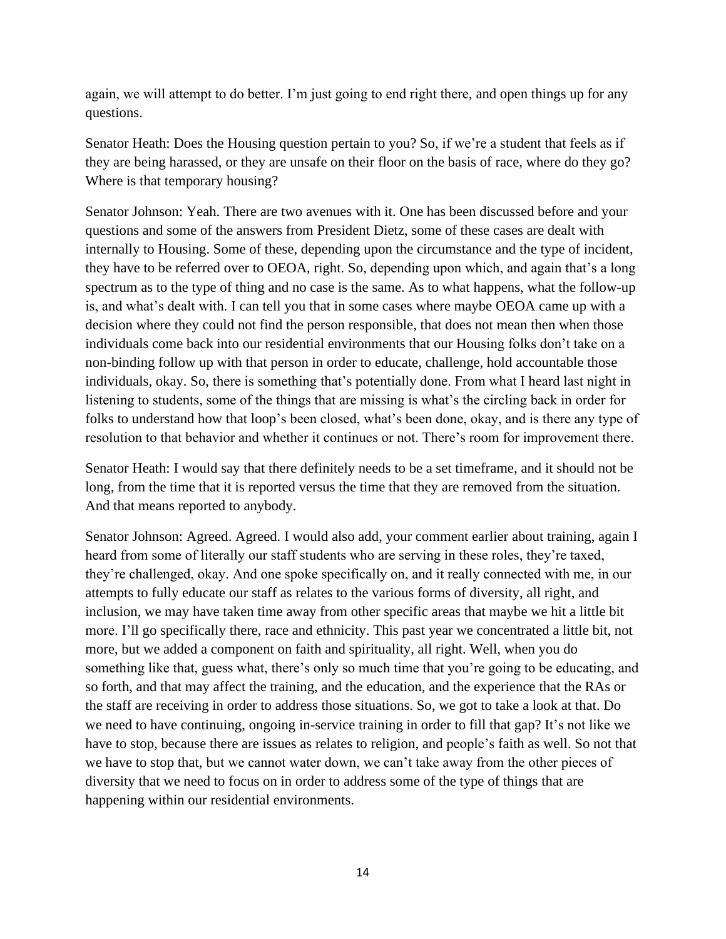again, we will attempt to do better. I'm just going to end right there, and open things up for any questions.

Senator Heath: Does the Housing question pertain to you? So, if we're a student that feels as if they are being harassed, or they are unsafe on their floor on the basis of race, where do they go? Where is that temporary housing?

Senator Johnson: Yeah. There are two avenues with it. One has been discussed before and your questions and some of the answers from President Dietz, some of these cases are dealt with internally to Housing. Some of these, depending upon the circumstance and the type of incident, they have to be referred over to OEOA, right. So, depending upon which, and again that's a long spectrum as to the type of thing and no case is the same. As to what happens, what the follow-up is, and what's dealt with. I can tell you that in some cases where maybe OEOA came up with a decision where they could not find the person responsible, that does not mean then when those individuals come back into our residential environments that our Housing folks don't take on a non-binding follow up with that person in order to educate, challenge, hold accountable those individuals, okay. So, there is something that's potentially done. From what I heard last night in listening to students, some of the things that are missing is what's the circling back in order for folks to understand how that loop's been closed, what's been done, okay, and is there any type of resolution to that behavior and whether it continues or not. There's room for improvement there.

Senator Heath: I would say that there definitely needs to be a set timeframe, and it should not be long, from the time that it is reported versus the time that they are removed from the situation. And that means reported to anybody.

Senator Johnson: Agreed. Agreed. I would also add, your comment earlier about training, again I heard from some of literally our staff students who are serving in these roles, they're taxed, they're challenged, okay. And one spoke specifically on, and it really connected with me, in our attempts to fully educate our staff as relates to the various forms of diversity, all right, and inclusion, we may have taken time away from other specific areas that maybe we hit a little bit more. I'll go specifically there, race and ethnicity. This past year we concentrated a little bit, not more, but we added a component on faith and spirituality, all right. Well, when you do something like that, guess what, there's only so much time that you're going to be educating, and so forth, and that may affect the training, and the education, and the experience that the RAs or the staff are receiving in order to address those situations. So, we got to take a look at that. Do we need to have continuing, ongoing in-service training in order to fill that gap? It's not like we have to stop, because there are issues as relates to religion, and people's faith as well. So not that we have to stop that, but we cannot water down, we can't take away from the other pieces of diversity that we need to focus on in order to address some of the type of things that are happening within our residential environments.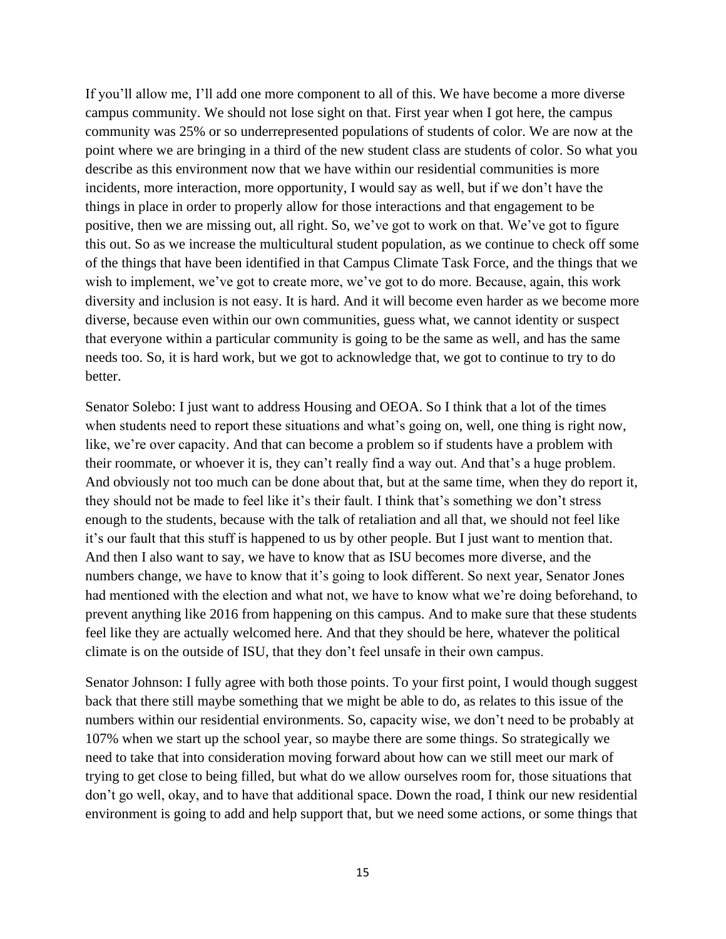If you'll allow me, I'll add one more component to all of this. We have become a more diverse campus community. We should not lose sight on that. First year when I got here, the campus community was 25% or so underrepresented populations of students of color. We are now at the point where we are bringing in a third of the new student class are students of color. So what you describe as this environment now that we have within our residential communities is more incidents, more interaction, more opportunity, I would say as well, but if we don't have the things in place in order to properly allow for those interactions and that engagement to be positive, then we are missing out, all right. So, we've got to work on that. We've got to figure this out. So as we increase the multicultural student population, as we continue to check off some of the things that have been identified in that Campus Climate Task Force, and the things that we wish to implement, we've got to create more, we've got to do more. Because, again, this work diversity and inclusion is not easy. It is hard. And it will become even harder as we become more diverse, because even within our own communities, guess what, we cannot identity or suspect that everyone within a particular community is going to be the same as well, and has the same needs too. So, it is hard work, but we got to acknowledge that, we got to continue to try to do better.

Senator Solebo: I just want to address Housing and OEOA. So I think that a lot of the times when students need to report these situations and what's going on, well, one thing is right now, like, we're over capacity. And that can become a problem so if students have a problem with their roommate, or whoever it is, they can't really find a way out. And that's a huge problem. And obviously not too much can be done about that, but at the same time, when they do report it, they should not be made to feel like it's their fault. I think that's something we don't stress enough to the students, because with the talk of retaliation and all that, we should not feel like it's our fault that this stuff is happened to us by other people. But I just want to mention that. And then I also want to say, we have to know that as ISU becomes more diverse, and the numbers change, we have to know that it's going to look different. So next year, Senator Jones had mentioned with the election and what not, we have to know what we're doing beforehand, to prevent anything like 2016 from happening on this campus. And to make sure that these students feel like they are actually welcomed here. And that they should be here, whatever the political climate is on the outside of ISU, that they don't feel unsafe in their own campus.

Senator Johnson: I fully agree with both those points. To your first point, I would though suggest back that there still maybe something that we might be able to do, as relates to this issue of the numbers within our residential environments. So, capacity wise, we don't need to be probably at 107% when we start up the school year, so maybe there are some things. So strategically we need to take that into consideration moving forward about how can we still meet our mark of trying to get close to being filled, but what do we allow ourselves room for, those situations that don't go well, okay, and to have that additional space. Down the road, I think our new residential environment is going to add and help support that, but we need some actions, or some things that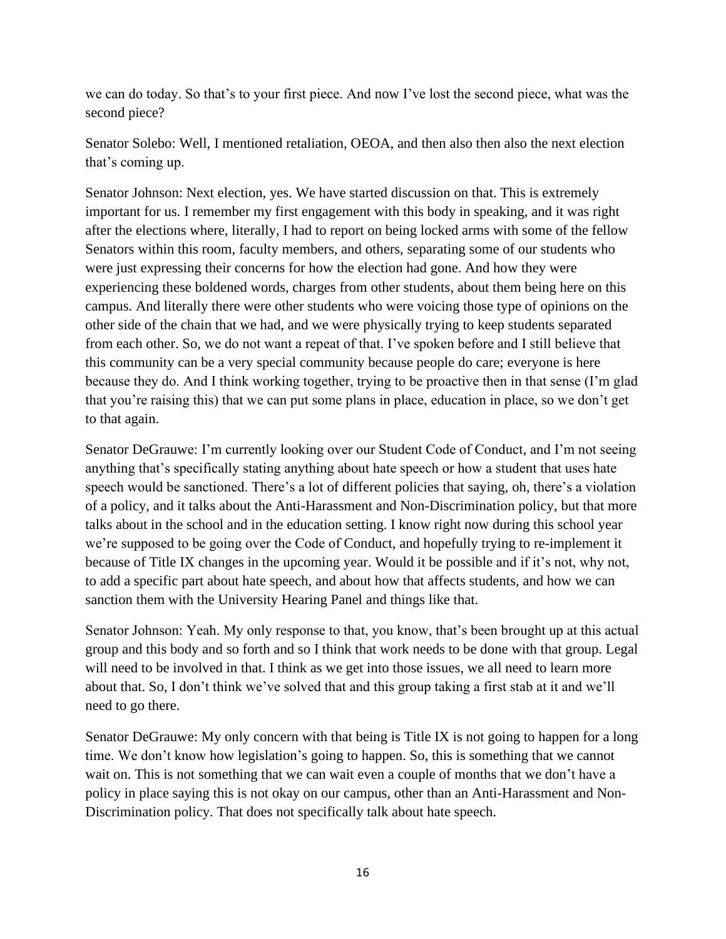we can do today. So that's to your first piece. And now I've lost the second piece, what was the second piece?

Senator Solebo: Well, I mentioned retaliation, OEOA, and then also then also the next election that's coming up.

Senator Johnson: Next election, yes. We have started discussion on that. This is extremely important for us. I remember my first engagement with this body in speaking, and it was right after the elections where, literally, I had to report on being locked arms with some of the fellow Senators within this room, faculty members, and others, separating some of our students who were just expressing their concerns for how the election had gone. And how they were experiencing these boldened words, charges from other students, about them being here on this campus. And literally there were other students who were voicing those type of opinions on the other side of the chain that we had, and we were physically trying to keep students separated from each other. So, we do not want a repeat of that. I've spoken before and I still believe that this community can be a very special community because people do care; everyone is here because they do. And I think working together, trying to be proactive then in that sense (I'm glad that you're raising this) that we can put some plans in place, education in place, so we don't get to that again.

Senator DeGrauwe: I'm currently looking over our Student Code of Conduct, and I'm not seeing anything that's specifically stating anything about hate speech or how a student that uses hate speech would be sanctioned. There's a lot of different policies that saying, oh, there's a violation of a policy, and it talks about the Anti-Harassment and Non-Discrimination policy, but that more talks about in the school and in the education setting. I know right now during this school year we're supposed to be going over the Code of Conduct, and hopefully trying to re-implement it because of Title IX changes in the upcoming year. Would it be possible and if it's not, why not, to add a specific part about hate speech, and about how that affects students, and how we can sanction them with the University Hearing Panel and things like that.

Senator Johnson: Yeah. My only response to that, you know, that's been brought up at this actual group and this body and so forth and so I think that work needs to be done with that group. Legal will need to be involved in that. I think as we get into those issues, we all need to learn more about that. So, I don't think we've solved that and this group taking a first stab at it and we'll need to go there.

Senator DeGrauwe: My only concern with that being is Title IX is not going to happen for a long time. We don't know how legislation's going to happen. So, this is something that we cannot wait on. This is not something that we can wait even a couple of months that we don't have a policy in place saying this is not okay on our campus, other than an Anti-Harassment and Non-Discrimination policy. That does not specifically talk about hate speech.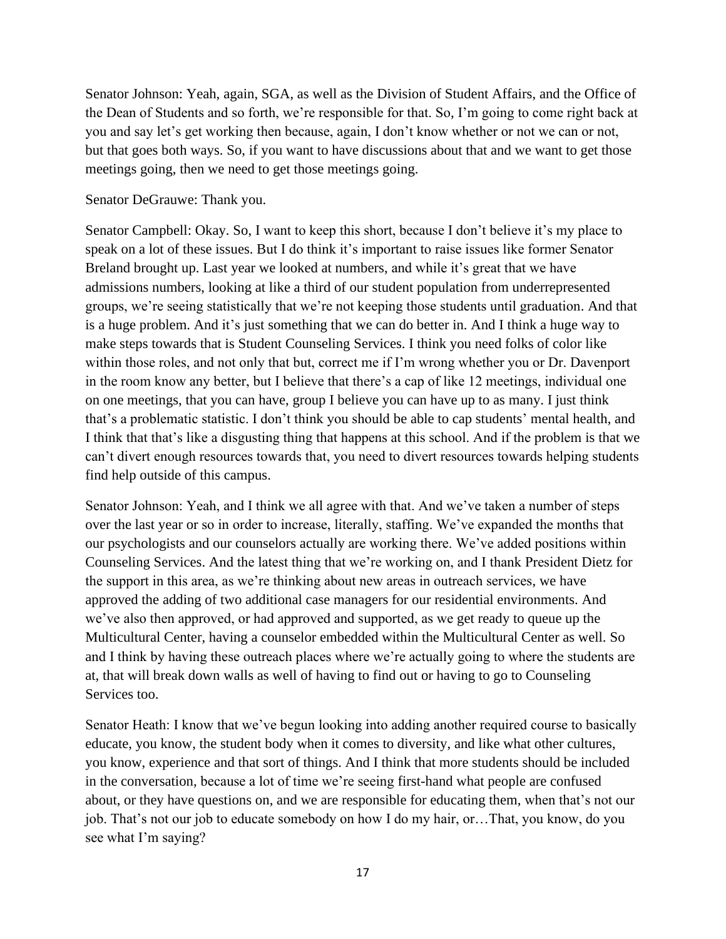Senator Johnson: Yeah, again, SGA, as well as the Division of Student Affairs, and the Office of the Dean of Students and so forth, we're responsible for that. So, I'm going to come right back at you and say let's get working then because, again, I don't know whether or not we can or not, but that goes both ways. So, if you want to have discussions about that and we want to get those meetings going, then we need to get those meetings going.

Senator DeGrauwe: Thank you.

Senator Campbell: Okay. So, I want to keep this short, because I don't believe it's my place to speak on a lot of these issues. But I do think it's important to raise issues like former Senator Breland brought up. Last year we looked at numbers, and while it's great that we have admissions numbers, looking at like a third of our student population from underrepresented groups, we're seeing statistically that we're not keeping those students until graduation. And that is a huge problem. And it's just something that we can do better in. And I think a huge way to make steps towards that is Student Counseling Services. I think you need folks of color like within those roles, and not only that but, correct me if I'm wrong whether you or Dr. Davenport in the room know any better, but I believe that there's a cap of like 12 meetings, individual one on one meetings, that you can have, group I believe you can have up to as many. I just think that's a problematic statistic. I don't think you should be able to cap students' mental health, and I think that that's like a disgusting thing that happens at this school. And if the problem is that we can't divert enough resources towards that, you need to divert resources towards helping students find help outside of this campus.

Senator Johnson: Yeah, and I think we all agree with that. And we've taken a number of steps over the last year or so in order to increase, literally, staffing. We've expanded the months that our psychologists and our counselors actually are working there. We've added positions within Counseling Services. And the latest thing that we're working on, and I thank President Dietz for the support in this area, as we're thinking about new areas in outreach services, we have approved the adding of two additional case managers for our residential environments. And we've also then approved, or had approved and supported, as we get ready to queue up the Multicultural Center, having a counselor embedded within the Multicultural Center as well. So and I think by having these outreach places where we're actually going to where the students are at, that will break down walls as well of having to find out or having to go to Counseling Services too.

Senator Heath: I know that we've begun looking into adding another required course to basically educate, you know, the student body when it comes to diversity, and like what other cultures, you know, experience and that sort of things. And I think that more students should be included in the conversation, because a lot of time we're seeing first-hand what people are confused about, or they have questions on, and we are responsible for educating them, when that's not our job. That's not our job to educate somebody on how I do my hair, or…That, you know, do you see what I'm saying?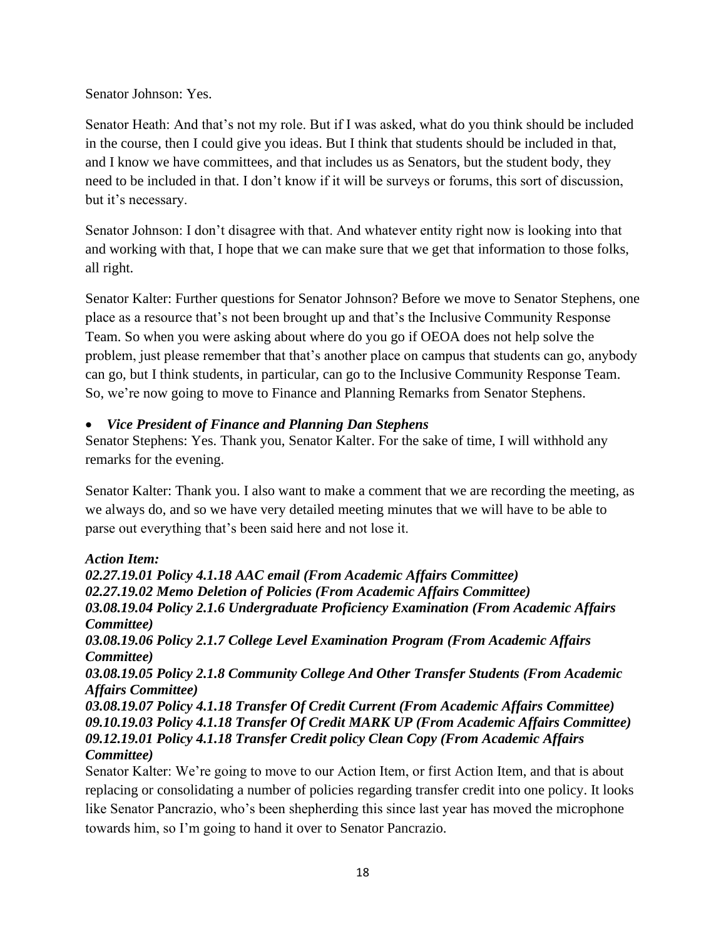Senator Johnson: Yes.

Senator Heath: And that's not my role. But if I was asked, what do you think should be included in the course, then I could give you ideas. But I think that students should be included in that, and I know we have committees, and that includes us as Senators, but the student body, they need to be included in that. I don't know if it will be surveys or forums, this sort of discussion, but it's necessary.

Senator Johnson: I don't disagree with that. And whatever entity right now is looking into that and working with that, I hope that we can make sure that we get that information to those folks, all right.

Senator Kalter: Further questions for Senator Johnson? Before we move to Senator Stephens, one place as a resource that's not been brought up and that's the Inclusive Community Response Team. So when you were asking about where do you go if OEOA does not help solve the problem, just please remember that that's another place on campus that students can go, anybody can go, but I think students, in particular, can go to the Inclusive Community Response Team. So, we're now going to move to Finance and Planning Remarks from Senator Stephens.

# • *Vice President of Finance and Planning Dan Stephens*

Senator Stephens: Yes. Thank you, Senator Kalter. For the sake of time, I will withhold any remarks for the evening.

Senator Kalter: Thank you. I also want to make a comment that we are recording the meeting, as we always do, and so we have very detailed meeting minutes that we will have to be able to parse out everything that's been said here and not lose it.

# *Action Item:*

*02.27.19.01 Policy 4.1.18 AAC email (From Academic Affairs Committee) 02.27.19.02 Memo Deletion of Policies (From Academic Affairs Committee) 03.08.19.04 Policy 2.1.6 Undergraduate Proficiency Examination (From Academic Affairs Committee) 03.08.19.06 Policy 2.1.7 College Level Examination Program (From Academic Affairs Committee) 03.08.19.05 Policy 2.1.8 Community College And Other Transfer Students (From Academic Affairs Committee) 03.08.19.07 Policy 4.1.18 Transfer Of Credit Current (From Academic Affairs Committee) 09.10.19.03 Policy 4.1.18 Transfer Of Credit MARK UP (From Academic Affairs Committee) 09.12.19.01 Policy 4.1.18 Transfer Credit policy Clean Copy (From Academic Affairs Committee)* Senator Kalter: We're going to move to our Action Item, or first Action Item, and that is about

replacing or consolidating a number of policies regarding transfer credit into one policy. It looks like Senator Pancrazio, who's been shepherding this since last year has moved the microphone towards him, so I'm going to hand it over to Senator Pancrazio.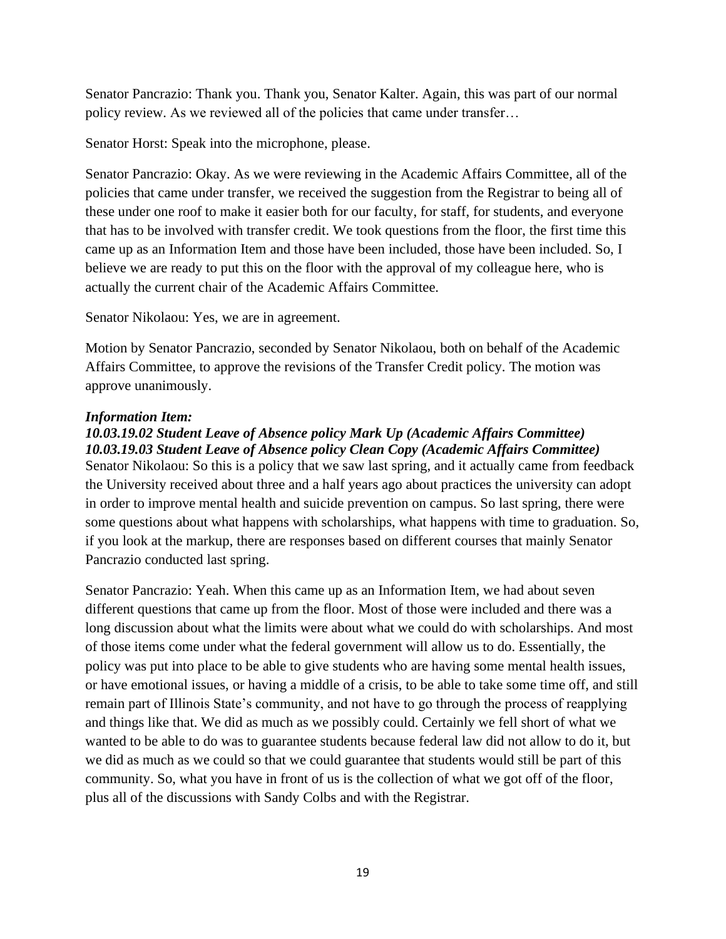Senator Pancrazio: Thank you. Thank you, Senator Kalter. Again, this was part of our normal policy review. As we reviewed all of the policies that came under transfer…

Senator Horst: Speak into the microphone, please.

Senator Pancrazio: Okay. As we were reviewing in the Academic Affairs Committee, all of the policies that came under transfer, we received the suggestion from the Registrar to being all of these under one roof to make it easier both for our faculty, for staff, for students, and everyone that has to be involved with transfer credit. We took questions from the floor, the first time this came up as an Information Item and those have been included, those have been included. So, I believe we are ready to put this on the floor with the approval of my colleague here, who is actually the current chair of the Academic Affairs Committee.

Senator Nikolaou: Yes, we are in agreement.

Motion by Senator Pancrazio, seconded by Senator Nikolaou, both on behalf of the Academic Affairs Committee, to approve the revisions of the Transfer Credit policy. The motion was approve unanimously.

### *Information Item:*

# *10.03.19.02 Student Leave of Absence policy Mark Up (Academic Affairs Committee)*

*10.03.19.03 Student Leave of Absence policy Clean Copy (Academic Affairs Committee)* Senator Nikolaou: So this is a policy that we saw last spring, and it actually came from feedback the University received about three and a half years ago about practices the university can adopt in order to improve mental health and suicide prevention on campus. So last spring, there were some questions about what happens with scholarships, what happens with time to graduation. So, if you look at the markup, there are responses based on different courses that mainly Senator Pancrazio conducted last spring.

Senator Pancrazio: Yeah. When this came up as an Information Item, we had about seven different questions that came up from the floor. Most of those were included and there was a long discussion about what the limits were about what we could do with scholarships. And most of those items come under what the federal government will allow us to do. Essentially, the policy was put into place to be able to give students who are having some mental health issues, or have emotional issues, or having a middle of a crisis, to be able to take some time off, and still remain part of Illinois State's community, and not have to go through the process of reapplying and things like that. We did as much as we possibly could. Certainly we fell short of what we wanted to be able to do was to guarantee students because federal law did not allow to do it, but we did as much as we could so that we could guarantee that students would still be part of this community. So, what you have in front of us is the collection of what we got off of the floor, plus all of the discussions with Sandy Colbs and with the Registrar.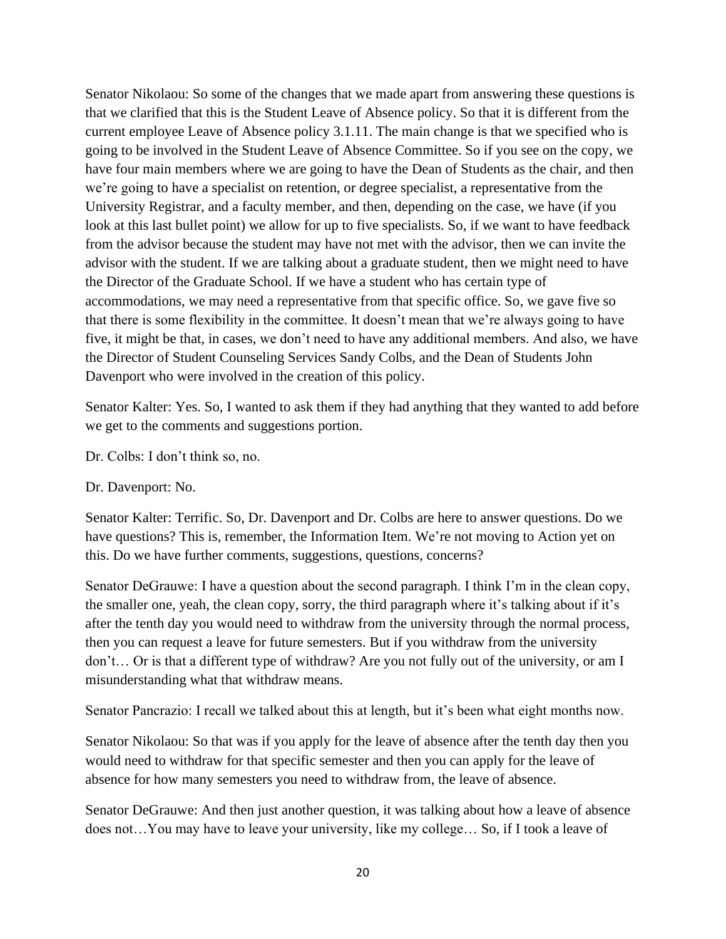Senator Nikolaou: So some of the changes that we made apart from answering these questions is that we clarified that this is the Student Leave of Absence policy. So that it is different from the current employee Leave of Absence policy 3.1.11. The main change is that we specified who is going to be involved in the Student Leave of Absence Committee. So if you see on the copy, we have four main members where we are going to have the Dean of Students as the chair, and then we're going to have a specialist on retention, or degree specialist, a representative from the University Registrar, and a faculty member, and then, depending on the case, we have (if you look at this last bullet point) we allow for up to five specialists. So, if we want to have feedback from the advisor because the student may have not met with the advisor, then we can invite the advisor with the student. If we are talking about a graduate student, then we might need to have the Director of the Graduate School. If we have a student who has certain type of accommodations, we may need a representative from that specific office. So, we gave five so that there is some flexibility in the committee. It doesn't mean that we're always going to have five, it might be that, in cases, we don't need to have any additional members. And also, we have the Director of Student Counseling Services Sandy Colbs, and the Dean of Students John Davenport who were involved in the creation of this policy.

Senator Kalter: Yes. So, I wanted to ask them if they had anything that they wanted to add before we get to the comments and suggestions portion.

Dr. Colbs: I don't think so, no.

### Dr. Davenport: No.

Senator Kalter: Terrific. So, Dr. Davenport and Dr. Colbs are here to answer questions. Do we have questions? This is, remember, the Information Item. We're not moving to Action yet on this. Do we have further comments, suggestions, questions, concerns?

Senator DeGrauwe: I have a question about the second paragraph. I think I'm in the clean copy, the smaller one, yeah, the clean copy, sorry, the third paragraph where it's talking about if it's after the tenth day you would need to withdraw from the university through the normal process, then you can request a leave for future semesters. But if you withdraw from the university don't… Or is that a different type of withdraw? Are you not fully out of the university, or am I misunderstanding what that withdraw means.

Senator Pancrazio: I recall we talked about this at length, but it's been what eight months now.

Senator Nikolaou: So that was if you apply for the leave of absence after the tenth day then you would need to withdraw for that specific semester and then you can apply for the leave of absence for how many semesters you need to withdraw from, the leave of absence.

Senator DeGrauwe: And then just another question, it was talking about how a leave of absence does not…You may have to leave your university, like my college… So, if I took a leave of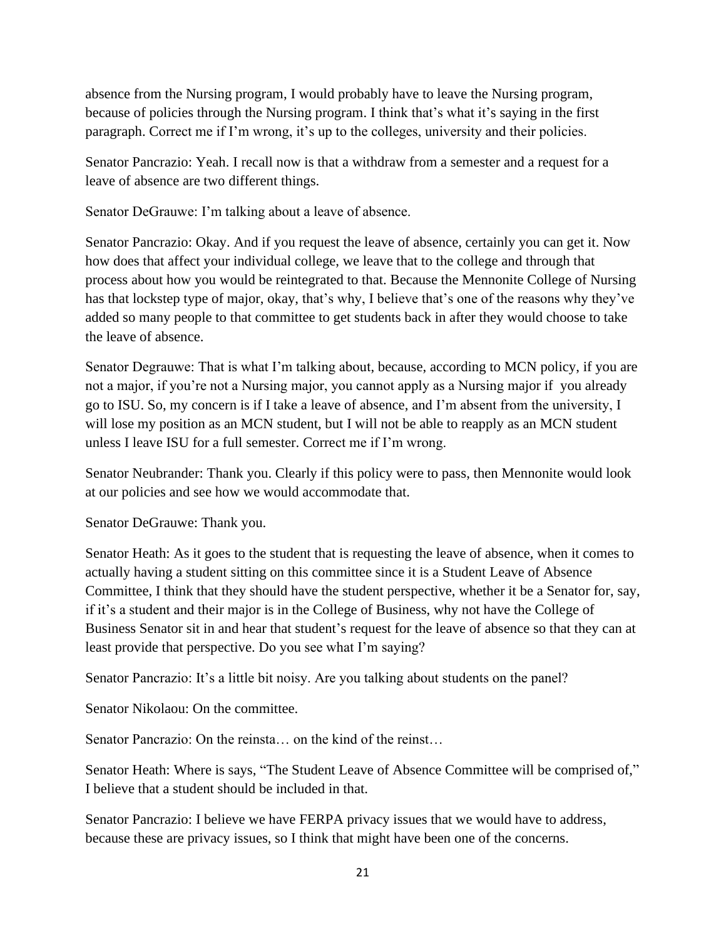absence from the Nursing program, I would probably have to leave the Nursing program, because of policies through the Nursing program. I think that's what it's saying in the first paragraph. Correct me if I'm wrong, it's up to the colleges, university and their policies.

Senator Pancrazio: Yeah. I recall now is that a withdraw from a semester and a request for a leave of absence are two different things.

Senator DeGrauwe: I'm talking about a leave of absence.

Senator Pancrazio: Okay. And if you request the leave of absence, certainly you can get it. Now how does that affect your individual college, we leave that to the college and through that process about how you would be reintegrated to that. Because the Mennonite College of Nursing has that lockstep type of major, okay, that's why, I believe that's one of the reasons why they've added so many people to that committee to get students back in after they would choose to take the leave of absence.

Senator Degrauwe: That is what I'm talking about, because, according to MCN policy, if you are not a major, if you're not a Nursing major, you cannot apply as a Nursing major if you already go to ISU. So, my concern is if I take a leave of absence, and I'm absent from the university, I will lose my position as an MCN student, but I will not be able to reapply as an MCN student unless I leave ISU for a full semester. Correct me if I'm wrong.

Senator Neubrander: Thank you. Clearly if this policy were to pass, then Mennonite would look at our policies and see how we would accommodate that.

Senator DeGrauwe: Thank you.

Senator Heath: As it goes to the student that is requesting the leave of absence, when it comes to actually having a student sitting on this committee since it is a Student Leave of Absence Committee, I think that they should have the student perspective, whether it be a Senator for, say, if it's a student and their major is in the College of Business, why not have the College of Business Senator sit in and hear that student's request for the leave of absence so that they can at least provide that perspective. Do you see what I'm saying?

Senator Pancrazio: It's a little bit noisy. Are you talking about students on the panel?

Senator Nikolaou: On the committee.

Senator Pancrazio: On the reinsta… on the kind of the reinst…

Senator Heath: Where is says, "The Student Leave of Absence Committee will be comprised of," I believe that a student should be included in that.

Senator Pancrazio: I believe we have FERPA privacy issues that we would have to address, because these are privacy issues, so I think that might have been one of the concerns.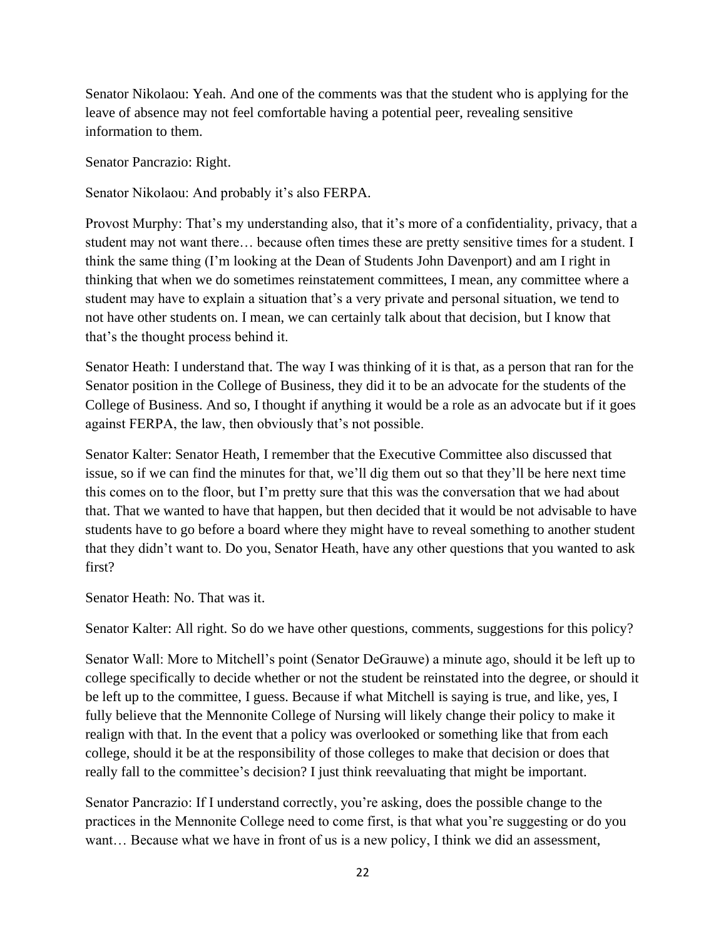Senator Nikolaou: Yeah. And one of the comments was that the student who is applying for the leave of absence may not feel comfortable having a potential peer, revealing sensitive information to them.

Senator Pancrazio: Right.

Senator Nikolaou: And probably it's also FERPA.

Provost Murphy: That's my understanding also, that it's more of a confidentiality, privacy, that a student may not want there… because often times these are pretty sensitive times for a student. I think the same thing (I'm looking at the Dean of Students John Davenport) and am I right in thinking that when we do sometimes reinstatement committees, I mean, any committee where a student may have to explain a situation that's a very private and personal situation, we tend to not have other students on. I mean, we can certainly talk about that decision, but I know that that's the thought process behind it.

Senator Heath: I understand that. The way I was thinking of it is that, as a person that ran for the Senator position in the College of Business, they did it to be an advocate for the students of the College of Business. And so, I thought if anything it would be a role as an advocate but if it goes against FERPA, the law, then obviously that's not possible.

Senator Kalter: Senator Heath, I remember that the Executive Committee also discussed that issue, so if we can find the minutes for that, we'll dig them out so that they'll be here next time this comes on to the floor, but I'm pretty sure that this was the conversation that we had about that. That we wanted to have that happen, but then decided that it would be not advisable to have students have to go before a board where they might have to reveal something to another student that they didn't want to. Do you, Senator Heath, have any other questions that you wanted to ask first?

Senator Heath: No. That was it.

Senator Kalter: All right. So do we have other questions, comments, suggestions for this policy?

Senator Wall: More to Mitchell's point (Senator DeGrauwe) a minute ago, should it be left up to college specifically to decide whether or not the student be reinstated into the degree, or should it be left up to the committee, I guess. Because if what Mitchell is saying is true, and like, yes, I fully believe that the Mennonite College of Nursing will likely change their policy to make it realign with that. In the event that a policy was overlooked or something like that from each college, should it be at the responsibility of those colleges to make that decision or does that really fall to the committee's decision? I just think reevaluating that might be important.

Senator Pancrazio: If I understand correctly, you're asking, does the possible change to the practices in the Mennonite College need to come first, is that what you're suggesting or do you want… Because what we have in front of us is a new policy, I think we did an assessment,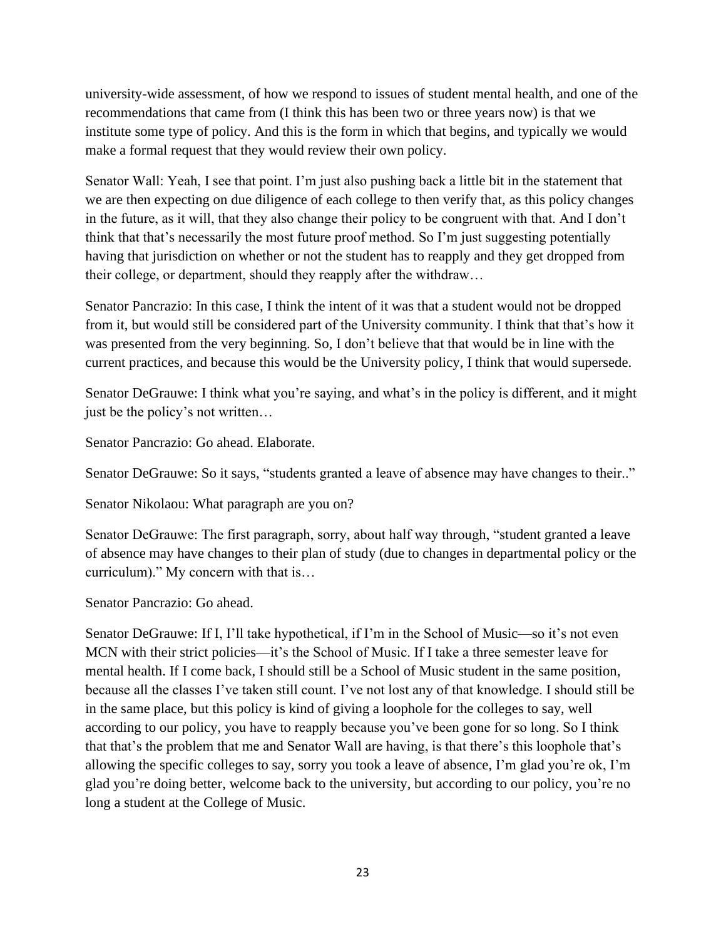university-wide assessment, of how we respond to issues of student mental health, and one of the recommendations that came from (I think this has been two or three years now) is that we institute some type of policy. And this is the form in which that begins, and typically we would make a formal request that they would review their own policy.

Senator Wall: Yeah, I see that point. I'm just also pushing back a little bit in the statement that we are then expecting on due diligence of each college to then verify that, as this policy changes in the future, as it will, that they also change their policy to be congruent with that. And I don't think that that's necessarily the most future proof method. So I'm just suggesting potentially having that jurisdiction on whether or not the student has to reapply and they get dropped from their college, or department, should they reapply after the withdraw…

Senator Pancrazio: In this case, I think the intent of it was that a student would not be dropped from it, but would still be considered part of the University community. I think that that's how it was presented from the very beginning. So, I don't believe that that would be in line with the current practices, and because this would be the University policy, I think that would supersede.

Senator DeGrauwe: I think what you're saying, and what's in the policy is different, and it might just be the policy's not written…

Senator Pancrazio: Go ahead. Elaborate.

Senator DeGrauwe: So it says, "students granted a leave of absence may have changes to their.."

Senator Nikolaou: What paragraph are you on?

Senator DeGrauwe: The first paragraph, sorry, about half way through, "student granted a leave of absence may have changes to their plan of study (due to changes in departmental policy or the curriculum)." My concern with that is…

Senator Pancrazio: Go ahead.

Senator DeGrauwe: If I, I'll take hypothetical, if I'm in the School of Music—so it's not even MCN with their strict policies—it's the School of Music. If I take a three semester leave for mental health. If I come back, I should still be a School of Music student in the same position, because all the classes I've taken still count. I've not lost any of that knowledge. I should still be in the same place, but this policy is kind of giving a loophole for the colleges to say, well according to our policy, you have to reapply because you've been gone for so long. So I think that that's the problem that me and Senator Wall are having, is that there's this loophole that's allowing the specific colleges to say, sorry you took a leave of absence, I'm glad you're ok, I'm glad you're doing better, welcome back to the university, but according to our policy, you're no long a student at the College of Music.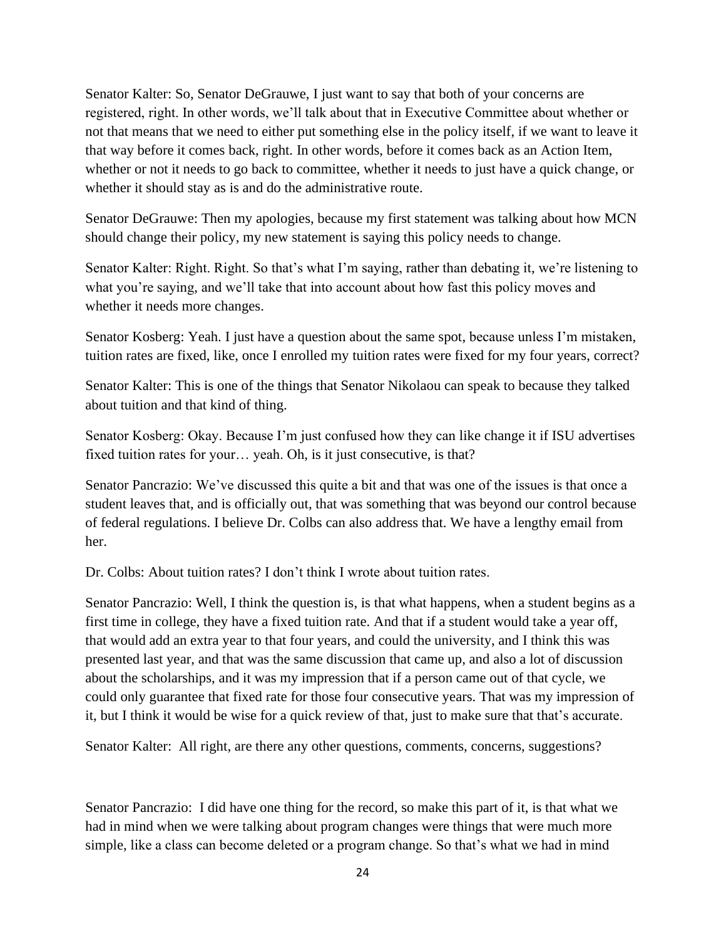Senator Kalter: So, Senator DeGrauwe, I just want to say that both of your concerns are registered, right. In other words, we'll talk about that in Executive Committee about whether or not that means that we need to either put something else in the policy itself, if we want to leave it that way before it comes back, right. In other words, before it comes back as an Action Item, whether or not it needs to go back to committee, whether it needs to just have a quick change, or whether it should stay as is and do the administrative route.

Senator DeGrauwe: Then my apologies, because my first statement was talking about how MCN should change their policy, my new statement is saying this policy needs to change.

Senator Kalter: Right. Right. So that's what I'm saying, rather than debating it, we're listening to what you're saying, and we'll take that into account about how fast this policy moves and whether it needs more changes.

Senator Kosberg: Yeah. I just have a question about the same spot, because unless I'm mistaken, tuition rates are fixed, like, once I enrolled my tuition rates were fixed for my four years, correct?

Senator Kalter: This is one of the things that Senator Nikolaou can speak to because they talked about tuition and that kind of thing.

Senator Kosberg: Okay. Because I'm just confused how they can like change it if ISU advertises fixed tuition rates for your… yeah. Oh, is it just consecutive, is that?

Senator Pancrazio: We've discussed this quite a bit and that was one of the issues is that once a student leaves that, and is officially out, that was something that was beyond our control because of federal regulations. I believe Dr. Colbs can also address that. We have a lengthy email from her.

Dr. Colbs: About tuition rates? I don't think I wrote about tuition rates.

Senator Pancrazio: Well, I think the question is, is that what happens, when a student begins as a first time in college, they have a fixed tuition rate. And that if a student would take a year off, that would add an extra year to that four years, and could the university, and I think this was presented last year, and that was the same discussion that came up, and also a lot of discussion about the scholarships, and it was my impression that if a person came out of that cycle, we could only guarantee that fixed rate for those four consecutive years. That was my impression of it, but I think it would be wise for a quick review of that, just to make sure that that's accurate.

Senator Kalter: All right, are there any other questions, comments, concerns, suggestions?

Senator Pancrazio: I did have one thing for the record, so make this part of it, is that what we had in mind when we were talking about program changes were things that were much more simple, like a class can become deleted or a program change. So that's what we had in mind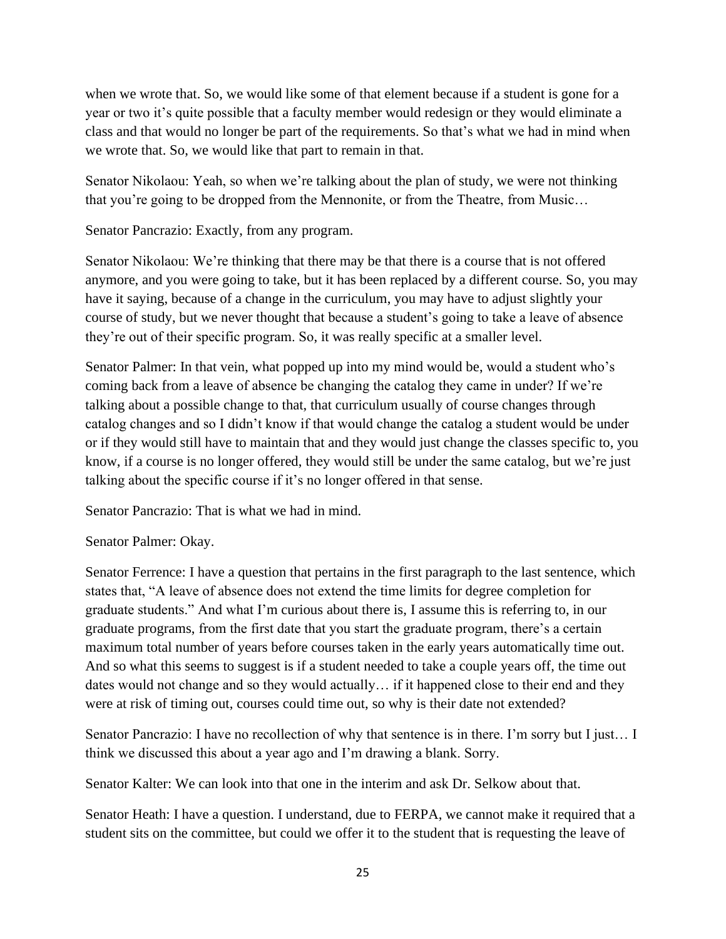when we wrote that. So, we would like some of that element because if a student is gone for a year or two it's quite possible that a faculty member would redesign or they would eliminate a class and that would no longer be part of the requirements. So that's what we had in mind when we wrote that. So, we would like that part to remain in that.

Senator Nikolaou: Yeah, so when we're talking about the plan of study, we were not thinking that you're going to be dropped from the Mennonite, or from the Theatre, from Music…

Senator Pancrazio: Exactly, from any program.

Senator Nikolaou: We're thinking that there may be that there is a course that is not offered anymore, and you were going to take, but it has been replaced by a different course. So, you may have it saying, because of a change in the curriculum, you may have to adjust slightly your course of study, but we never thought that because a student's going to take a leave of absence they're out of their specific program. So, it was really specific at a smaller level.

Senator Palmer: In that vein, what popped up into my mind would be, would a student who's coming back from a leave of absence be changing the catalog they came in under? If we're talking about a possible change to that, that curriculum usually of course changes through catalog changes and so I didn't know if that would change the catalog a student would be under or if they would still have to maintain that and they would just change the classes specific to, you know, if a course is no longer offered, they would still be under the same catalog, but we're just talking about the specific course if it's no longer offered in that sense.

Senator Pancrazio: That is what we had in mind.

Senator Palmer: Okay.

Senator Ferrence: I have a question that pertains in the first paragraph to the last sentence, which states that, "A leave of absence does not extend the time limits for degree completion for graduate students." And what I'm curious about there is, I assume this is referring to, in our graduate programs, from the first date that you start the graduate program, there's a certain maximum total number of years before courses taken in the early years automatically time out. And so what this seems to suggest is if a student needed to take a couple years off, the time out dates would not change and so they would actually… if it happened close to their end and they were at risk of timing out, courses could time out, so why is their date not extended?

Senator Pancrazio: I have no recollection of why that sentence is in there. I'm sorry but I just… I think we discussed this about a year ago and I'm drawing a blank. Sorry.

Senator Kalter: We can look into that one in the interim and ask Dr. Selkow about that.

Senator Heath: I have a question. I understand, due to FERPA, we cannot make it required that a student sits on the committee, but could we offer it to the student that is requesting the leave of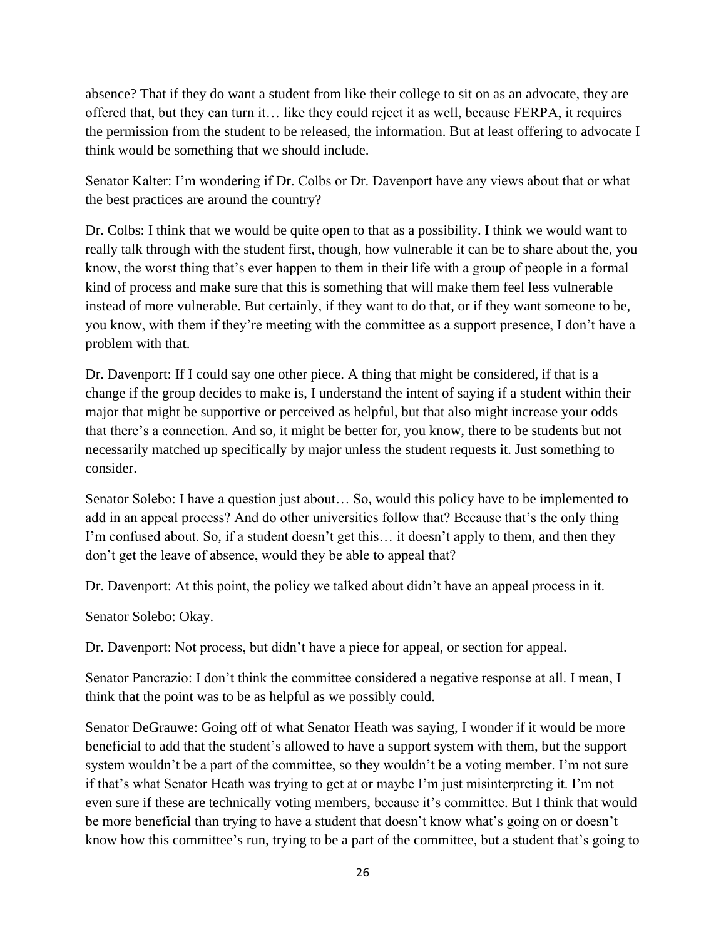absence? That if they do want a student from like their college to sit on as an advocate, they are offered that, but they can turn it… like they could reject it as well, because FERPA, it requires the permission from the student to be released, the information. But at least offering to advocate I think would be something that we should include.

Senator Kalter: I'm wondering if Dr. Colbs or Dr. Davenport have any views about that or what the best practices are around the country?

Dr. Colbs: I think that we would be quite open to that as a possibility. I think we would want to really talk through with the student first, though, how vulnerable it can be to share about the, you know, the worst thing that's ever happen to them in their life with a group of people in a formal kind of process and make sure that this is something that will make them feel less vulnerable instead of more vulnerable. But certainly, if they want to do that, or if they want someone to be, you know, with them if they're meeting with the committee as a support presence, I don't have a problem with that.

Dr. Davenport: If I could say one other piece. A thing that might be considered, if that is a change if the group decides to make is, I understand the intent of saying if a student within their major that might be supportive or perceived as helpful, but that also might increase your odds that there's a connection. And so, it might be better for, you know, there to be students but not necessarily matched up specifically by major unless the student requests it. Just something to consider.

Senator Solebo: I have a question just about… So, would this policy have to be implemented to add in an appeal process? And do other universities follow that? Because that's the only thing I'm confused about. So, if a student doesn't get this… it doesn't apply to them, and then they don't get the leave of absence, would they be able to appeal that?

Dr. Davenport: At this point, the policy we talked about didn't have an appeal process in it.

Senator Solebo: Okay.

Dr. Davenport: Not process, but didn't have a piece for appeal, or section for appeal.

Senator Pancrazio: I don't think the committee considered a negative response at all. I mean, I think that the point was to be as helpful as we possibly could.

Senator DeGrauwe: Going off of what Senator Heath was saying, I wonder if it would be more beneficial to add that the student's allowed to have a support system with them, but the support system wouldn't be a part of the committee, so they wouldn't be a voting member. I'm not sure if that's what Senator Heath was trying to get at or maybe I'm just misinterpreting it. I'm not even sure if these are technically voting members, because it's committee. But I think that would be more beneficial than trying to have a student that doesn't know what's going on or doesn't know how this committee's run, trying to be a part of the committee, but a student that's going to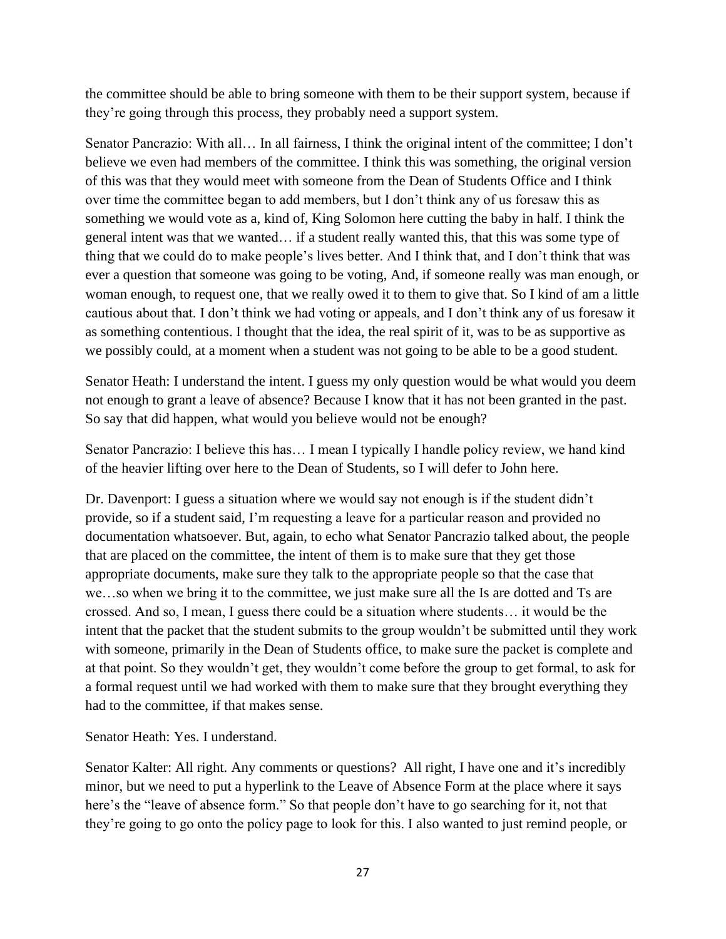the committee should be able to bring someone with them to be their support system, because if they're going through this process, they probably need a support system.

Senator Pancrazio: With all… In all fairness, I think the original intent of the committee; I don't believe we even had members of the committee. I think this was something, the original version of this was that they would meet with someone from the Dean of Students Office and I think over time the committee began to add members, but I don't think any of us foresaw this as something we would vote as a, kind of, King Solomon here cutting the baby in half. I think the general intent was that we wanted… if a student really wanted this, that this was some type of thing that we could do to make people's lives better. And I think that, and I don't think that was ever a question that someone was going to be voting, And, if someone really was man enough, or woman enough, to request one, that we really owed it to them to give that. So I kind of am a little cautious about that. I don't think we had voting or appeals, and I don't think any of us foresaw it as something contentious. I thought that the idea, the real spirit of it, was to be as supportive as we possibly could, at a moment when a student was not going to be able to be a good student.

Senator Heath: I understand the intent. I guess my only question would be what would you deem not enough to grant a leave of absence? Because I know that it has not been granted in the past. So say that did happen, what would you believe would not be enough?

Senator Pancrazio: I believe this has… I mean I typically I handle policy review, we hand kind of the heavier lifting over here to the Dean of Students, so I will defer to John here.

Dr. Davenport: I guess a situation where we would say not enough is if the student didn't provide, so if a student said, I'm requesting a leave for a particular reason and provided no documentation whatsoever. But, again, to echo what Senator Pancrazio talked about, the people that are placed on the committee, the intent of them is to make sure that they get those appropriate documents, make sure they talk to the appropriate people so that the case that we…so when we bring it to the committee, we just make sure all the Is are dotted and Ts are crossed. And so, I mean, I guess there could be a situation where students… it would be the intent that the packet that the student submits to the group wouldn't be submitted until they work with someone, primarily in the Dean of Students office, to make sure the packet is complete and at that point. So they wouldn't get, they wouldn't come before the group to get formal, to ask for a formal request until we had worked with them to make sure that they brought everything they had to the committee, if that makes sense.

Senator Heath: Yes. I understand.

Senator Kalter: All right. Any comments or questions? All right, I have one and it's incredibly minor, but we need to put a hyperlink to the Leave of Absence Form at the place where it says here's the "leave of absence form." So that people don't have to go searching for it, not that they're going to go onto the policy page to look for this. I also wanted to just remind people, or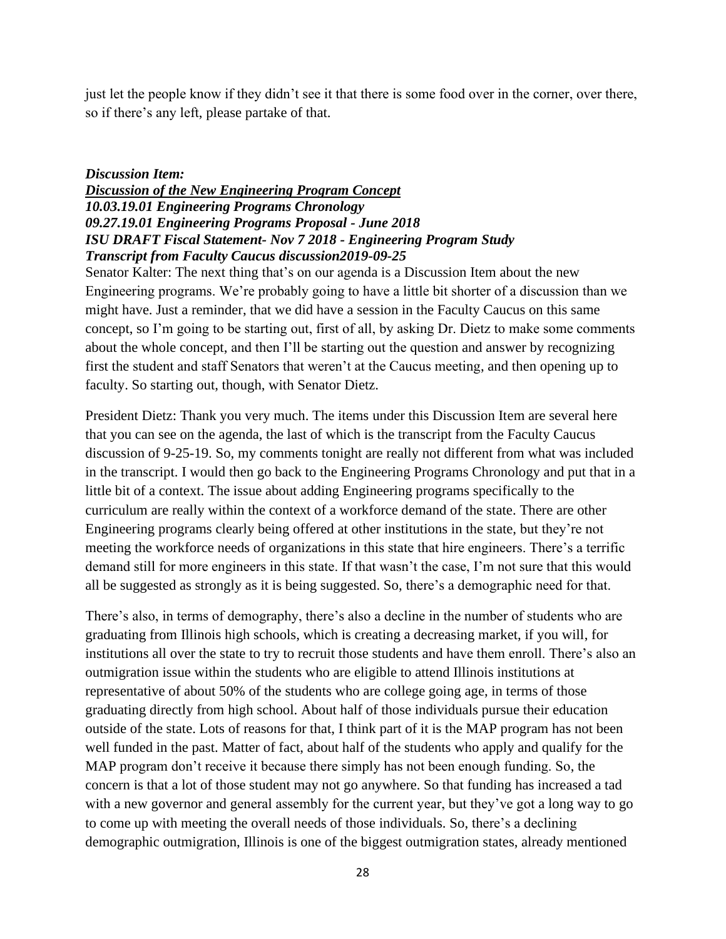just let the people know if they didn't see it that there is some food over in the corner, over there, so if there's any left, please partake of that.

#### *Discussion Item:*

## *Discussion of the New Engineering Program Concept 10.03.19.01 Engineering Programs Chronology 09.27.19.01 Engineering Programs Proposal - June 2018 ISU DRAFT Fiscal Statement- Nov 7 2018 - Engineering Program Study Transcript from Faculty Caucus discussion2019-09-25*

Senator Kalter: The next thing that's on our agenda is a Discussion Item about the new Engineering programs. We're probably going to have a little bit shorter of a discussion than we might have. Just a reminder, that we did have a session in the Faculty Caucus on this same concept, so I'm going to be starting out, first of all, by asking Dr. Dietz to make some comments about the whole concept, and then I'll be starting out the question and answer by recognizing first the student and staff Senators that weren't at the Caucus meeting, and then opening up to faculty. So starting out, though, with Senator Dietz.

President Dietz: Thank you very much. The items under this Discussion Item are several here that you can see on the agenda, the last of which is the transcript from the Faculty Caucus discussion of 9-25-19. So, my comments tonight are really not different from what was included in the transcript. I would then go back to the Engineering Programs Chronology and put that in a little bit of a context. The issue about adding Engineering programs specifically to the curriculum are really within the context of a workforce demand of the state. There are other Engineering programs clearly being offered at other institutions in the state, but they're not meeting the workforce needs of organizations in this state that hire engineers. There's a terrific demand still for more engineers in this state. If that wasn't the case, I'm not sure that this would all be suggested as strongly as it is being suggested. So, there's a demographic need for that.

There's also, in terms of demography, there's also a decline in the number of students who are graduating from Illinois high schools, which is creating a decreasing market, if you will, for institutions all over the state to try to recruit those students and have them enroll. There's also an outmigration issue within the students who are eligible to attend Illinois institutions at representative of about 50% of the students who are college going age, in terms of those graduating directly from high school. About half of those individuals pursue their education outside of the state. Lots of reasons for that, I think part of it is the MAP program has not been well funded in the past. Matter of fact, about half of the students who apply and qualify for the MAP program don't receive it because there simply has not been enough funding. So, the concern is that a lot of those student may not go anywhere. So that funding has increased a tad with a new governor and general assembly for the current year, but they've got a long way to go to come up with meeting the overall needs of those individuals. So, there's a declining demographic outmigration, Illinois is one of the biggest outmigration states, already mentioned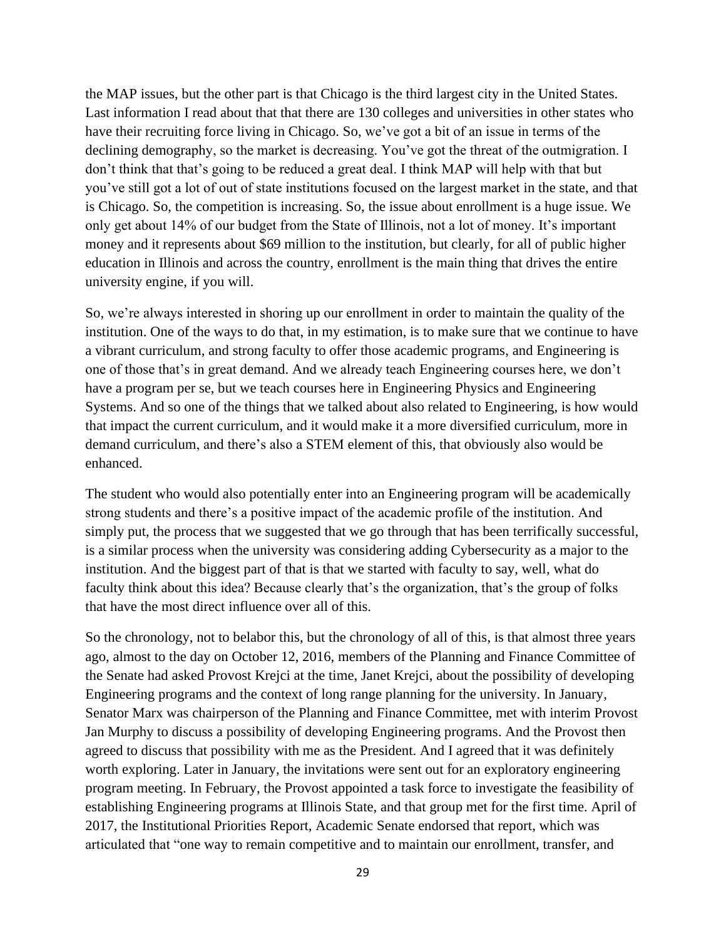the MAP issues, but the other part is that Chicago is the third largest city in the United States. Last information I read about that that there are 130 colleges and universities in other states who have their recruiting force living in Chicago. So, we've got a bit of an issue in terms of the declining demography, so the market is decreasing. You've got the threat of the outmigration. I don't think that that's going to be reduced a great deal. I think MAP will help with that but you've still got a lot of out of state institutions focused on the largest market in the state, and that is Chicago. So, the competition is increasing. So, the issue about enrollment is a huge issue. We only get about 14% of our budget from the State of Illinois, not a lot of money. It's important money and it represents about \$69 million to the institution, but clearly, for all of public higher education in Illinois and across the country, enrollment is the main thing that drives the entire university engine, if you will.

So, we're always interested in shoring up our enrollment in order to maintain the quality of the institution. One of the ways to do that, in my estimation, is to make sure that we continue to have a vibrant curriculum, and strong faculty to offer those academic programs, and Engineering is one of those that's in great demand. And we already teach Engineering courses here, we don't have a program per se, but we teach courses here in Engineering Physics and Engineering Systems. And so one of the things that we talked about also related to Engineering, is how would that impact the current curriculum, and it would make it a more diversified curriculum, more in demand curriculum, and there's also a STEM element of this, that obviously also would be enhanced.

The student who would also potentially enter into an Engineering program will be academically strong students and there's a positive impact of the academic profile of the institution. And simply put, the process that we suggested that we go through that has been terrifically successful, is a similar process when the university was considering adding Cybersecurity as a major to the institution. And the biggest part of that is that we started with faculty to say, well, what do faculty think about this idea? Because clearly that's the organization, that's the group of folks that have the most direct influence over all of this.

So the chronology, not to belabor this, but the chronology of all of this, is that almost three years ago, almost to the day on October 12, 2016, members of the Planning and Finance Committee of the Senate had asked Provost Krejci at the time, Janet Krejci, about the possibility of developing Engineering programs and the context of long range planning for the university. In January, Senator Marx was chairperson of the Planning and Finance Committee, met with interim Provost Jan Murphy to discuss a possibility of developing Engineering programs. And the Provost then agreed to discuss that possibility with me as the President. And I agreed that it was definitely worth exploring. Later in January, the invitations were sent out for an exploratory engineering program meeting. In February, the Provost appointed a task force to investigate the feasibility of establishing Engineering programs at Illinois State, and that group met for the first time. April of 2017, the Institutional Priorities Report, Academic Senate endorsed that report, which was articulated that "one way to remain competitive and to maintain our enrollment, transfer, and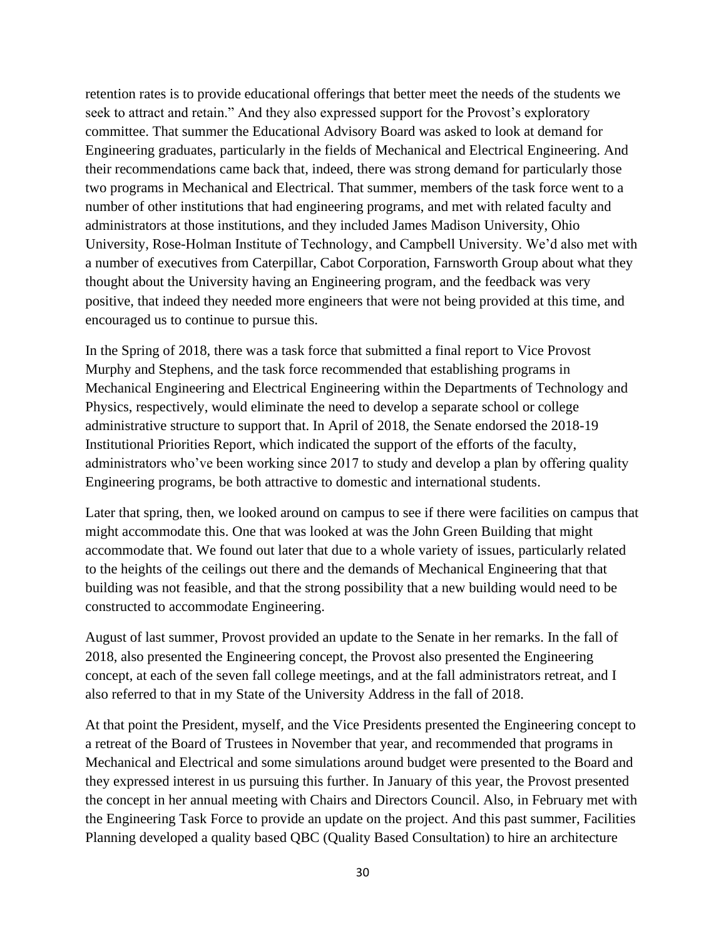retention rates is to provide educational offerings that better meet the needs of the students we seek to attract and retain." And they also expressed support for the Provost's exploratory committee. That summer the Educational Advisory Board was asked to look at demand for Engineering graduates, particularly in the fields of Mechanical and Electrical Engineering. And their recommendations came back that, indeed, there was strong demand for particularly those two programs in Mechanical and Electrical. That summer, members of the task force went to a number of other institutions that had engineering programs, and met with related faculty and administrators at those institutions, and they included James Madison University, Ohio University, Rose-Holman Institute of Technology, and Campbell University. We'd also met with a number of executives from Caterpillar, Cabot Corporation, Farnsworth Group about what they thought about the University having an Engineering program, and the feedback was very positive, that indeed they needed more engineers that were not being provided at this time, and encouraged us to continue to pursue this.

In the Spring of 2018, there was a task force that submitted a final report to Vice Provost Murphy and Stephens, and the task force recommended that establishing programs in Mechanical Engineering and Electrical Engineering within the Departments of Technology and Physics, respectively, would eliminate the need to develop a separate school or college administrative structure to support that. In April of 2018, the Senate endorsed the 2018-19 Institutional Priorities Report, which indicated the support of the efforts of the faculty, administrators who've been working since 2017 to study and develop a plan by offering quality Engineering programs, be both attractive to domestic and international students.

Later that spring, then, we looked around on campus to see if there were facilities on campus that might accommodate this. One that was looked at was the John Green Building that might accommodate that. We found out later that due to a whole variety of issues, particularly related to the heights of the ceilings out there and the demands of Mechanical Engineering that that building was not feasible, and that the strong possibility that a new building would need to be constructed to accommodate Engineering.

August of last summer, Provost provided an update to the Senate in her remarks. In the fall of 2018, also presented the Engineering concept, the Provost also presented the Engineering concept, at each of the seven fall college meetings, and at the fall administrators retreat, and I also referred to that in my State of the University Address in the fall of 2018.

At that point the President, myself, and the Vice Presidents presented the Engineering concept to a retreat of the Board of Trustees in November that year, and recommended that programs in Mechanical and Electrical and some simulations around budget were presented to the Board and they expressed interest in us pursuing this further. In January of this year, the Provost presented the concept in her annual meeting with Chairs and Directors Council. Also, in February met with the Engineering Task Force to provide an update on the project. And this past summer, Facilities Planning developed a quality based QBC (Quality Based Consultation) to hire an architecture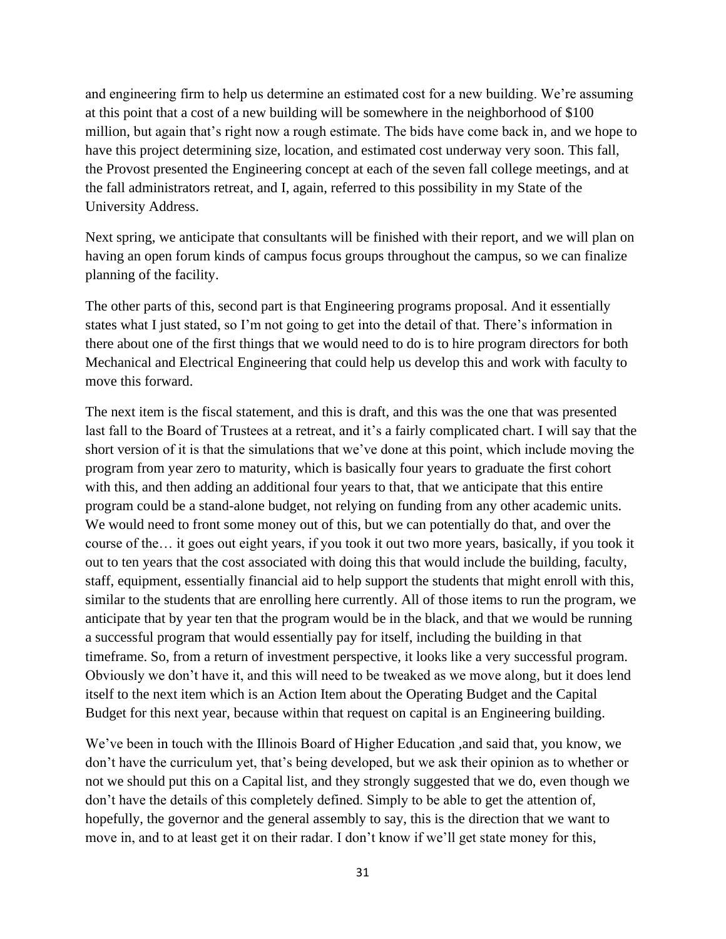and engineering firm to help us determine an estimated cost for a new building. We're assuming at this point that a cost of a new building will be somewhere in the neighborhood of \$100 million, but again that's right now a rough estimate. The bids have come back in, and we hope to have this project determining size, location, and estimated cost underway very soon. This fall, the Provost presented the Engineering concept at each of the seven fall college meetings, and at the fall administrators retreat, and I, again, referred to this possibility in my State of the University Address.

Next spring, we anticipate that consultants will be finished with their report, and we will plan on having an open forum kinds of campus focus groups throughout the campus, so we can finalize planning of the facility.

The other parts of this, second part is that Engineering programs proposal. And it essentially states what I just stated, so I'm not going to get into the detail of that. There's information in there about one of the first things that we would need to do is to hire program directors for both Mechanical and Electrical Engineering that could help us develop this and work with faculty to move this forward.

The next item is the fiscal statement, and this is draft, and this was the one that was presented last fall to the Board of Trustees at a retreat, and it's a fairly complicated chart. I will say that the short version of it is that the simulations that we've done at this point, which include moving the program from year zero to maturity, which is basically four years to graduate the first cohort with this, and then adding an additional four years to that, that we anticipate that this entire program could be a stand-alone budget, not relying on funding from any other academic units. We would need to front some money out of this, but we can potentially do that, and over the course of the… it goes out eight years, if you took it out two more years, basically, if you took it out to ten years that the cost associated with doing this that would include the building, faculty, staff, equipment, essentially financial aid to help support the students that might enroll with this, similar to the students that are enrolling here currently. All of those items to run the program, we anticipate that by year ten that the program would be in the black, and that we would be running a successful program that would essentially pay for itself, including the building in that timeframe. So, from a return of investment perspective, it looks like a very successful program. Obviously we don't have it, and this will need to be tweaked as we move along, but it does lend itself to the next item which is an Action Item about the Operating Budget and the Capital Budget for this next year, because within that request on capital is an Engineering building.

We've been in touch with the Illinois Board of Higher Education ,and said that, you know, we don't have the curriculum yet, that's being developed, but we ask their opinion as to whether or not we should put this on a Capital list, and they strongly suggested that we do, even though we don't have the details of this completely defined. Simply to be able to get the attention of, hopefully, the governor and the general assembly to say, this is the direction that we want to move in, and to at least get it on their radar. I don't know if we'll get state money for this,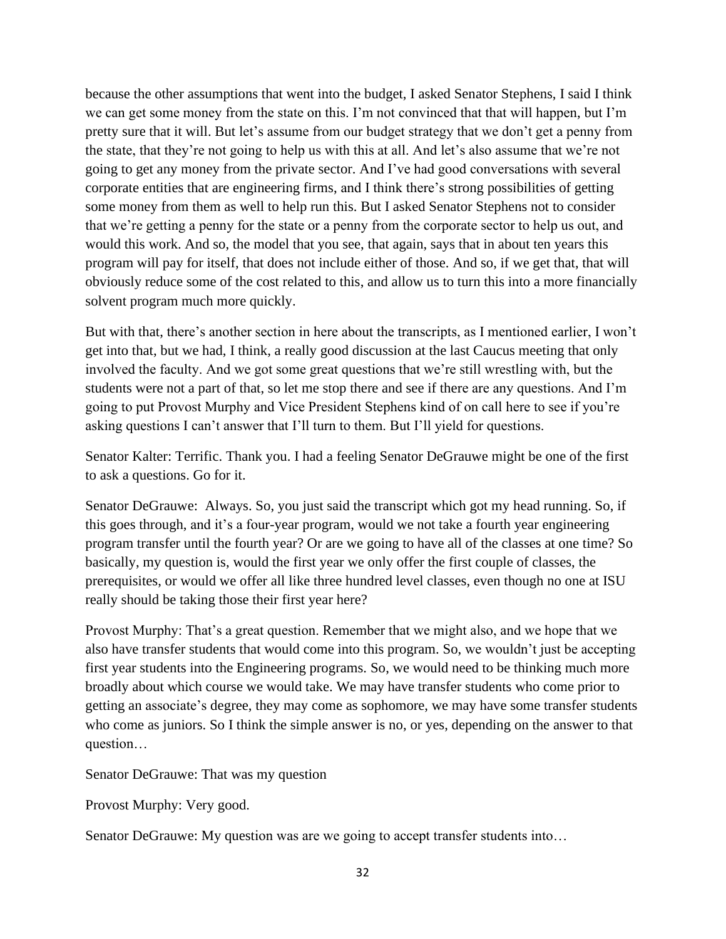because the other assumptions that went into the budget, I asked Senator Stephens, I said I think we can get some money from the state on this. I'm not convinced that that will happen, but I'm pretty sure that it will. But let's assume from our budget strategy that we don't get a penny from the state, that they're not going to help us with this at all. And let's also assume that we're not going to get any money from the private sector. And I've had good conversations with several corporate entities that are engineering firms, and I think there's strong possibilities of getting some money from them as well to help run this. But I asked Senator Stephens not to consider that we're getting a penny for the state or a penny from the corporate sector to help us out, and would this work. And so, the model that you see, that again, says that in about ten years this program will pay for itself, that does not include either of those. And so, if we get that, that will obviously reduce some of the cost related to this, and allow us to turn this into a more financially solvent program much more quickly.

But with that, there's another section in here about the transcripts, as I mentioned earlier, I won't get into that, but we had, I think, a really good discussion at the last Caucus meeting that only involved the faculty. And we got some great questions that we're still wrestling with, but the students were not a part of that, so let me stop there and see if there are any questions. And I'm going to put Provost Murphy and Vice President Stephens kind of on call here to see if you're asking questions I can't answer that I'll turn to them. But I'll yield for questions.

Senator Kalter: Terrific. Thank you. I had a feeling Senator DeGrauwe might be one of the first to ask a questions. Go for it.

Senator DeGrauwe: Always. So, you just said the transcript which got my head running. So, if this goes through, and it's a four-year program, would we not take a fourth year engineering program transfer until the fourth year? Or are we going to have all of the classes at one time? So basically, my question is, would the first year we only offer the first couple of classes, the prerequisites, or would we offer all like three hundred level classes, even though no one at ISU really should be taking those their first year here?

Provost Murphy: That's a great question. Remember that we might also, and we hope that we also have transfer students that would come into this program. So, we wouldn't just be accepting first year students into the Engineering programs. So, we would need to be thinking much more broadly about which course we would take. We may have transfer students who come prior to getting an associate's degree, they may come as sophomore, we may have some transfer students who come as juniors. So I think the simple answer is no, or yes, depending on the answer to that question…

Senator DeGrauwe: That was my question

Provost Murphy: Very good.

Senator DeGrauwe: My question was are we going to accept transfer students into…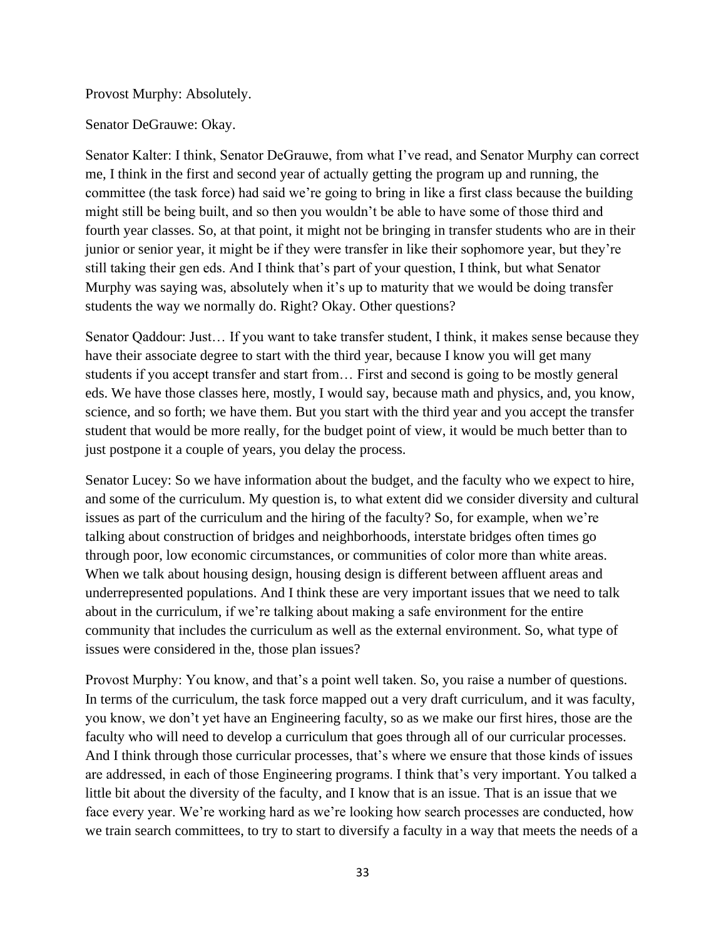Provost Murphy: Absolutely.

Senator DeGrauwe: Okay.

Senator Kalter: I think, Senator DeGrauwe, from what I've read, and Senator Murphy can correct me, I think in the first and second year of actually getting the program up and running, the committee (the task force) had said we're going to bring in like a first class because the building might still be being built, and so then you wouldn't be able to have some of those third and fourth year classes. So, at that point, it might not be bringing in transfer students who are in their junior or senior year, it might be if they were transfer in like their sophomore year, but they're still taking their gen eds. And I think that's part of your question, I think, but what Senator Murphy was saying was, absolutely when it's up to maturity that we would be doing transfer students the way we normally do. Right? Okay. Other questions?

Senator Qaddour: Just… If you want to take transfer student, I think, it makes sense because they have their associate degree to start with the third year, because I know you will get many students if you accept transfer and start from… First and second is going to be mostly general eds. We have those classes here, mostly, I would say, because math and physics, and, you know, science, and so forth; we have them. But you start with the third year and you accept the transfer student that would be more really, for the budget point of view, it would be much better than to just postpone it a couple of years, you delay the process.

Senator Lucey: So we have information about the budget, and the faculty who we expect to hire, and some of the curriculum. My question is, to what extent did we consider diversity and cultural issues as part of the curriculum and the hiring of the faculty? So, for example, when we're talking about construction of bridges and neighborhoods, interstate bridges often times go through poor, low economic circumstances, or communities of color more than white areas. When we talk about housing design, housing design is different between affluent areas and underrepresented populations. And I think these are very important issues that we need to talk about in the curriculum, if we're talking about making a safe environment for the entire community that includes the curriculum as well as the external environment. So, what type of issues were considered in the, those plan issues?

Provost Murphy: You know, and that's a point well taken. So, you raise a number of questions. In terms of the curriculum, the task force mapped out a very draft curriculum, and it was faculty, you know, we don't yet have an Engineering faculty, so as we make our first hires, those are the faculty who will need to develop a curriculum that goes through all of our curricular processes. And I think through those curricular processes, that's where we ensure that those kinds of issues are addressed, in each of those Engineering programs. I think that's very important. You talked a little bit about the diversity of the faculty, and I know that is an issue. That is an issue that we face every year. We're working hard as we're looking how search processes are conducted, how we train search committees, to try to start to diversify a faculty in a way that meets the needs of a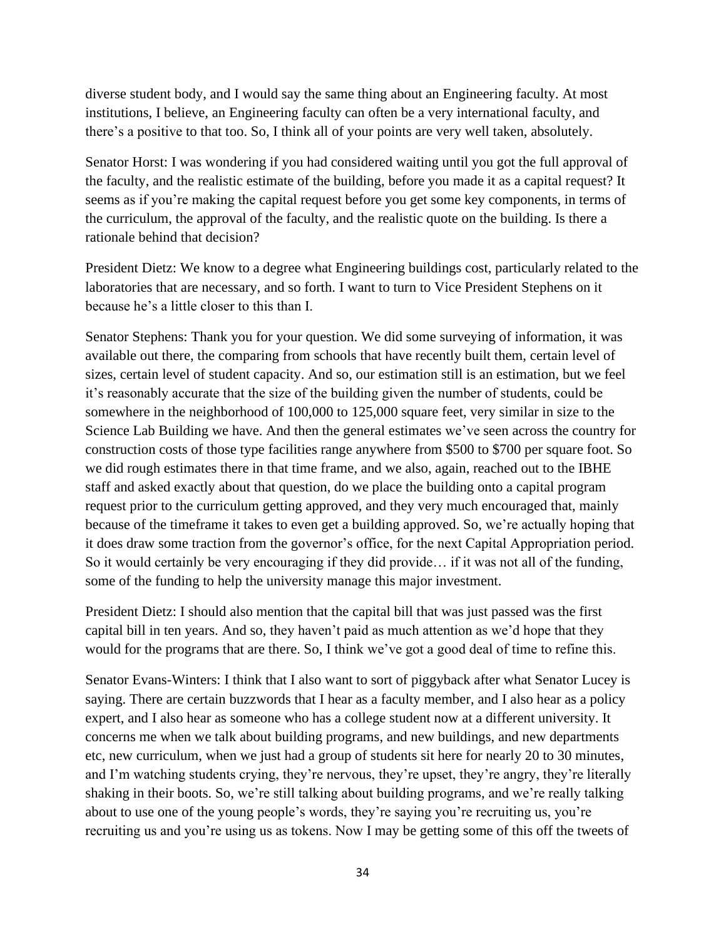diverse student body, and I would say the same thing about an Engineering faculty. At most institutions, I believe, an Engineering faculty can often be a very international faculty, and there's a positive to that too. So, I think all of your points are very well taken, absolutely.

Senator Horst: I was wondering if you had considered waiting until you got the full approval of the faculty, and the realistic estimate of the building, before you made it as a capital request? It seems as if you're making the capital request before you get some key components, in terms of the curriculum, the approval of the faculty, and the realistic quote on the building. Is there a rationale behind that decision?

President Dietz: We know to a degree what Engineering buildings cost, particularly related to the laboratories that are necessary, and so forth. I want to turn to Vice President Stephens on it because he's a little closer to this than I.

Senator Stephens: Thank you for your question. We did some surveying of information, it was available out there, the comparing from schools that have recently built them, certain level of sizes, certain level of student capacity. And so, our estimation still is an estimation, but we feel it's reasonably accurate that the size of the building given the number of students, could be somewhere in the neighborhood of 100,000 to 125,000 square feet, very similar in size to the Science Lab Building we have. And then the general estimates we've seen across the country for construction costs of those type facilities range anywhere from \$500 to \$700 per square foot. So we did rough estimates there in that time frame, and we also, again, reached out to the IBHE staff and asked exactly about that question, do we place the building onto a capital program request prior to the curriculum getting approved, and they very much encouraged that, mainly because of the timeframe it takes to even get a building approved. So, we're actually hoping that it does draw some traction from the governor's office, for the next Capital Appropriation period. So it would certainly be very encouraging if they did provide… if it was not all of the funding, some of the funding to help the university manage this major investment.

President Dietz: I should also mention that the capital bill that was just passed was the first capital bill in ten years. And so, they haven't paid as much attention as we'd hope that they would for the programs that are there. So, I think we've got a good deal of time to refine this.

Senator Evans-Winters: I think that I also want to sort of piggyback after what Senator Lucey is saying. There are certain buzzwords that I hear as a faculty member, and I also hear as a policy expert, and I also hear as someone who has a college student now at a different university. It concerns me when we talk about building programs, and new buildings, and new departments etc, new curriculum, when we just had a group of students sit here for nearly 20 to 30 minutes, and I'm watching students crying, they're nervous, they're upset, they're angry, they're literally shaking in their boots. So, we're still talking about building programs, and we're really talking about to use one of the young people's words, they're saying you're recruiting us, you're recruiting us and you're using us as tokens. Now I may be getting some of this off the tweets of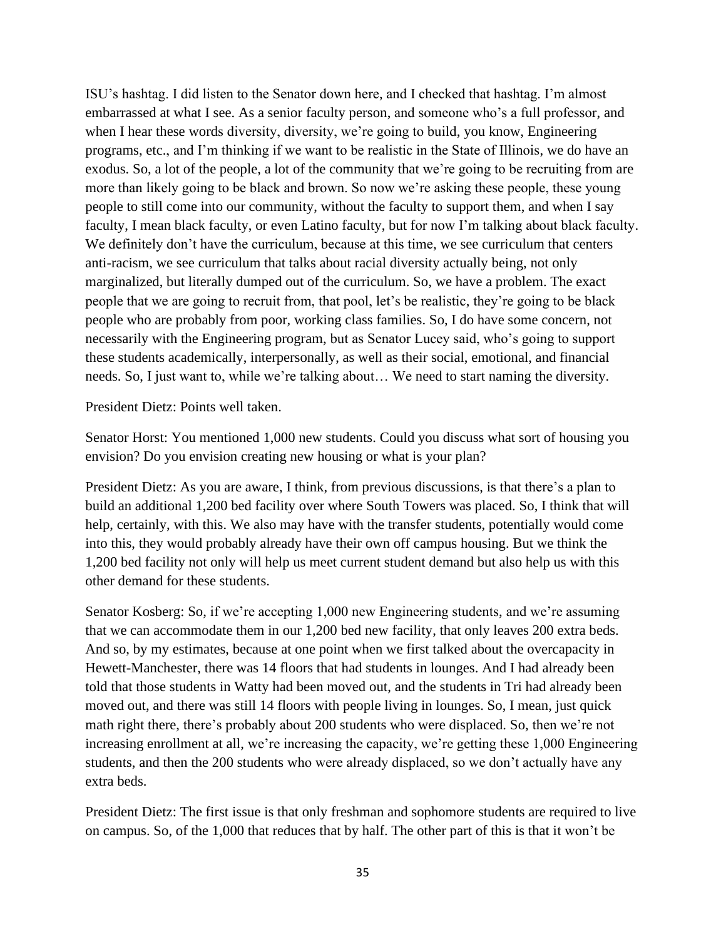ISU's hashtag. I did listen to the Senator down here, and I checked that hashtag. I'm almost embarrassed at what I see. As a senior faculty person, and someone who's a full professor, and when I hear these words diversity, diversity, we're going to build, you know, Engineering programs, etc., and I'm thinking if we want to be realistic in the State of Illinois, we do have an exodus. So, a lot of the people, a lot of the community that we're going to be recruiting from are more than likely going to be black and brown. So now we're asking these people, these young people to still come into our community, without the faculty to support them, and when I say faculty, I mean black faculty, or even Latino faculty, but for now I'm talking about black faculty. We definitely don't have the curriculum, because at this time, we see curriculum that centers anti-racism, we see curriculum that talks about racial diversity actually being, not only marginalized, but literally dumped out of the curriculum. So, we have a problem. The exact people that we are going to recruit from, that pool, let's be realistic, they're going to be black people who are probably from poor, working class families. So, I do have some concern, not necessarily with the Engineering program, but as Senator Lucey said, who's going to support these students academically, interpersonally, as well as their social, emotional, and financial needs. So, I just want to, while we're talking about… We need to start naming the diversity.

President Dietz: Points well taken.

Senator Horst: You mentioned 1,000 new students. Could you discuss what sort of housing you envision? Do you envision creating new housing or what is your plan?

President Dietz: As you are aware, I think, from previous discussions, is that there's a plan to build an additional 1,200 bed facility over where South Towers was placed. So, I think that will help, certainly, with this. We also may have with the transfer students, potentially would come into this, they would probably already have their own off campus housing. But we think the 1,200 bed facility not only will help us meet current student demand but also help us with this other demand for these students.

Senator Kosberg: So, if we're accepting 1,000 new Engineering students, and we're assuming that we can accommodate them in our 1,200 bed new facility, that only leaves 200 extra beds. And so, by my estimates, because at one point when we first talked about the overcapacity in Hewett-Manchester, there was 14 floors that had students in lounges. And I had already been told that those students in Watty had been moved out, and the students in Tri had already been moved out, and there was still 14 floors with people living in lounges. So, I mean, just quick math right there, there's probably about 200 students who were displaced. So, then we're not increasing enrollment at all, we're increasing the capacity, we're getting these 1,000 Engineering students, and then the 200 students who were already displaced, so we don't actually have any extra beds.

President Dietz: The first issue is that only freshman and sophomore students are required to live on campus. So, of the 1,000 that reduces that by half. The other part of this is that it won't be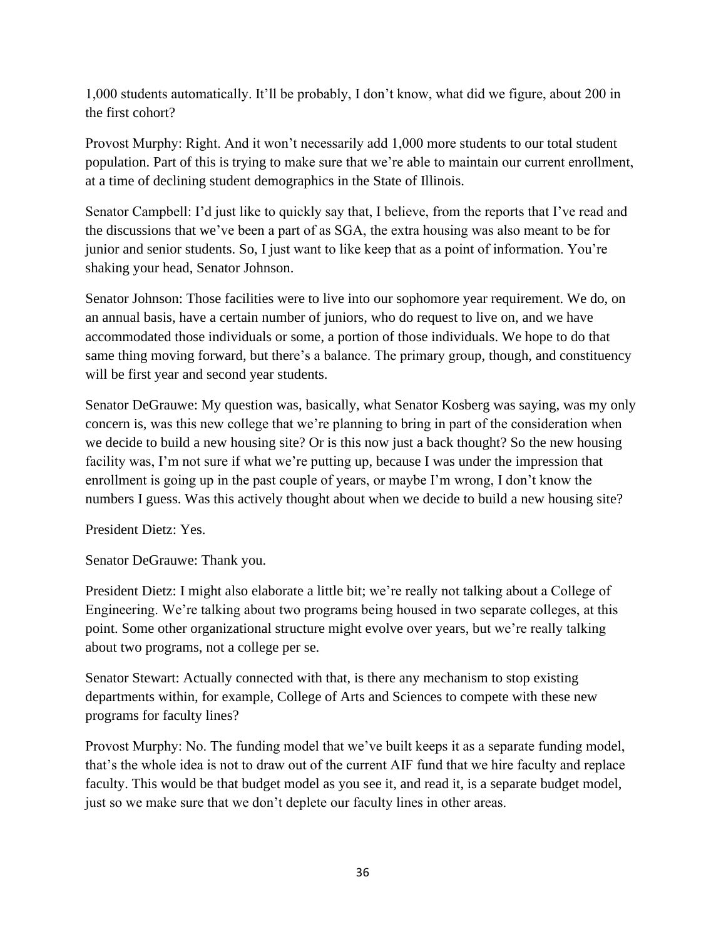1,000 students automatically. It'll be probably, I don't know, what did we figure, about 200 in the first cohort?

Provost Murphy: Right. And it won't necessarily add 1,000 more students to our total student population. Part of this is trying to make sure that we're able to maintain our current enrollment, at a time of declining student demographics in the State of Illinois.

Senator Campbell: I'd just like to quickly say that, I believe, from the reports that I've read and the discussions that we've been a part of as SGA, the extra housing was also meant to be for junior and senior students. So, I just want to like keep that as a point of information. You're shaking your head, Senator Johnson.

Senator Johnson: Those facilities were to live into our sophomore year requirement. We do, on an annual basis, have a certain number of juniors, who do request to live on, and we have accommodated those individuals or some, a portion of those individuals. We hope to do that same thing moving forward, but there's a balance. The primary group, though, and constituency will be first year and second year students.

Senator DeGrauwe: My question was, basically, what Senator Kosberg was saying, was my only concern is, was this new college that we're planning to bring in part of the consideration when we decide to build a new housing site? Or is this now just a back thought? So the new housing facility was, I'm not sure if what we're putting up, because I was under the impression that enrollment is going up in the past couple of years, or maybe I'm wrong, I don't know the numbers I guess. Was this actively thought about when we decide to build a new housing site?

President Dietz: Yes.

Senator DeGrauwe: Thank you.

President Dietz: I might also elaborate a little bit; we're really not talking about a College of Engineering. We're talking about two programs being housed in two separate colleges, at this point. Some other organizational structure might evolve over years, but we're really talking about two programs, not a college per se.

Senator Stewart: Actually connected with that, is there any mechanism to stop existing departments within, for example, College of Arts and Sciences to compete with these new programs for faculty lines?

Provost Murphy: No. The funding model that we've built keeps it as a separate funding model, that's the whole idea is not to draw out of the current AIF fund that we hire faculty and replace faculty. This would be that budget model as you see it, and read it, is a separate budget model, just so we make sure that we don't deplete our faculty lines in other areas.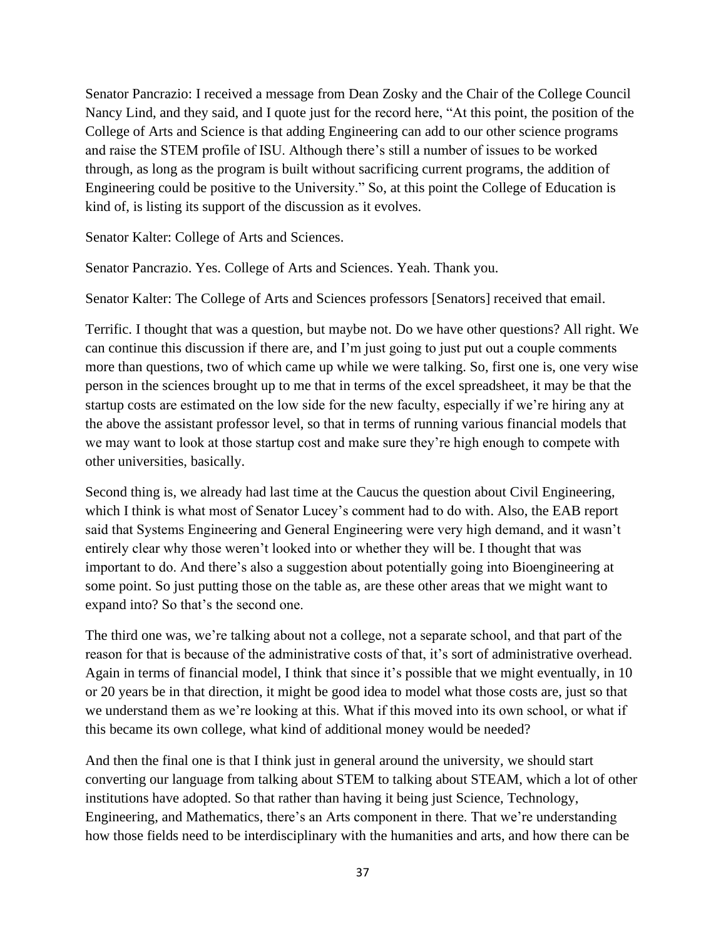Senator Pancrazio: I received a message from Dean Zosky and the Chair of the College Council Nancy Lind, and they said, and I quote just for the record here, "At this point, the position of the College of Arts and Science is that adding Engineering can add to our other science programs and raise the STEM profile of ISU. Although there's still a number of issues to be worked through, as long as the program is built without sacrificing current programs, the addition of Engineering could be positive to the University." So, at this point the College of Education is kind of, is listing its support of the discussion as it evolves.

Senator Kalter: College of Arts and Sciences.

Senator Pancrazio. Yes. College of Arts and Sciences. Yeah. Thank you.

Senator Kalter: The College of Arts and Sciences professors [Senators] received that email.

Terrific. I thought that was a question, but maybe not. Do we have other questions? All right. We can continue this discussion if there are, and I'm just going to just put out a couple comments more than questions, two of which came up while we were talking. So, first one is, one very wise person in the sciences brought up to me that in terms of the excel spreadsheet, it may be that the startup costs are estimated on the low side for the new faculty, especially if we're hiring any at the above the assistant professor level, so that in terms of running various financial models that we may want to look at those startup cost and make sure they're high enough to compete with other universities, basically.

Second thing is, we already had last time at the Caucus the question about Civil Engineering, which I think is what most of Senator Lucey's comment had to do with. Also, the EAB report said that Systems Engineering and General Engineering were very high demand, and it wasn't entirely clear why those weren't looked into or whether they will be. I thought that was important to do. And there's also a suggestion about potentially going into Bioengineering at some point. So just putting those on the table as, are these other areas that we might want to expand into? So that's the second one.

The third one was, we're talking about not a college, not a separate school, and that part of the reason for that is because of the administrative costs of that, it's sort of administrative overhead. Again in terms of financial model, I think that since it's possible that we might eventually, in 10 or 20 years be in that direction, it might be good idea to model what those costs are, just so that we understand them as we're looking at this. What if this moved into its own school, or what if this became its own college, what kind of additional money would be needed?

And then the final one is that I think just in general around the university, we should start converting our language from talking about STEM to talking about STEAM, which a lot of other institutions have adopted. So that rather than having it being just Science, Technology, Engineering, and Mathematics, there's an Arts component in there. That we're understanding how those fields need to be interdisciplinary with the humanities and arts, and how there can be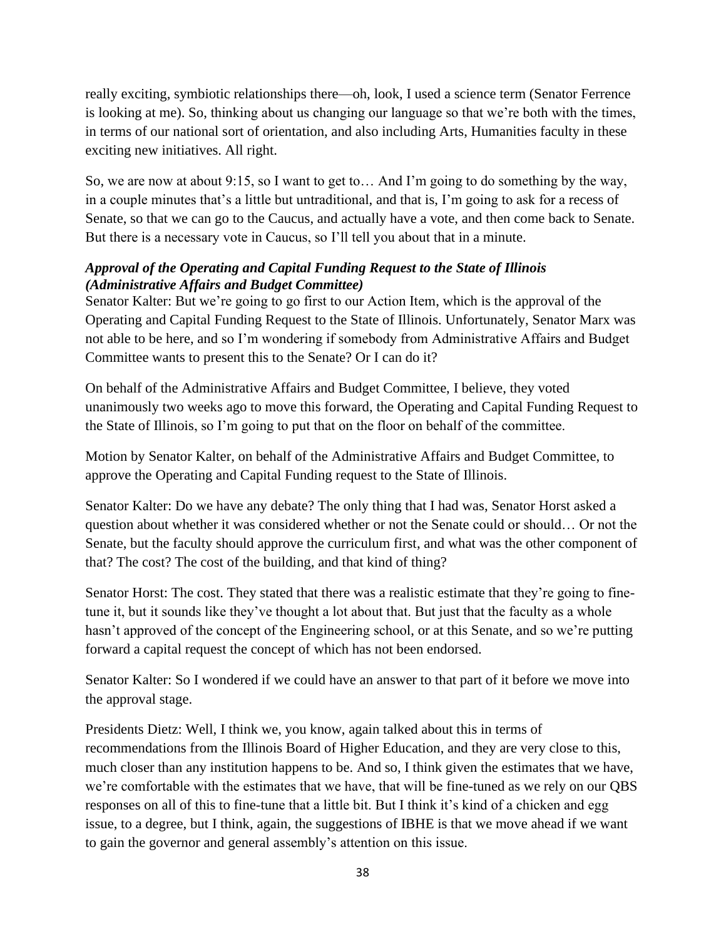really exciting, symbiotic relationships there—oh, look, I used a science term (Senator Ferrence is looking at me). So, thinking about us changing our language so that we're both with the times, in terms of our national sort of orientation, and also including Arts, Humanities faculty in these exciting new initiatives. All right.

So, we are now at about 9:15, so I want to get to… And I'm going to do something by the way, in a couple minutes that's a little but untraditional, and that is, I'm going to ask for a recess of Senate, so that we can go to the Caucus, and actually have a vote, and then come back to Senate. But there is a necessary vote in Caucus, so I'll tell you about that in a minute.

# *Approval of the Operating and Capital Funding Request to the State of Illinois (Administrative Affairs and Budget Committee)*

Senator Kalter: But we're going to go first to our Action Item, which is the approval of the Operating and Capital Funding Request to the State of Illinois. Unfortunately, Senator Marx was not able to be here, and so I'm wondering if somebody from Administrative Affairs and Budget Committee wants to present this to the Senate? Or I can do it?

On behalf of the Administrative Affairs and Budget Committee, I believe, they voted unanimously two weeks ago to move this forward, the Operating and Capital Funding Request to the State of Illinois, so I'm going to put that on the floor on behalf of the committee.

Motion by Senator Kalter, on behalf of the Administrative Affairs and Budget Committee, to approve the Operating and Capital Funding request to the State of Illinois.

Senator Kalter: Do we have any debate? The only thing that I had was, Senator Horst asked a question about whether it was considered whether or not the Senate could or should… Or not the Senate, but the faculty should approve the curriculum first, and what was the other component of that? The cost? The cost of the building, and that kind of thing?

Senator Horst: The cost. They stated that there was a realistic estimate that they're going to finetune it, but it sounds like they've thought a lot about that. But just that the faculty as a whole hasn't approved of the concept of the Engineering school, or at this Senate, and so we're putting forward a capital request the concept of which has not been endorsed.

Senator Kalter: So I wondered if we could have an answer to that part of it before we move into the approval stage.

Presidents Dietz: Well, I think we, you know, again talked about this in terms of recommendations from the Illinois Board of Higher Education, and they are very close to this, much closer than any institution happens to be. And so, I think given the estimates that we have, we're comfortable with the estimates that we have, that will be fine-tuned as we rely on our QBS responses on all of this to fine-tune that a little bit. But I think it's kind of a chicken and egg issue, to a degree, but I think, again, the suggestions of IBHE is that we move ahead if we want to gain the governor and general assembly's attention on this issue.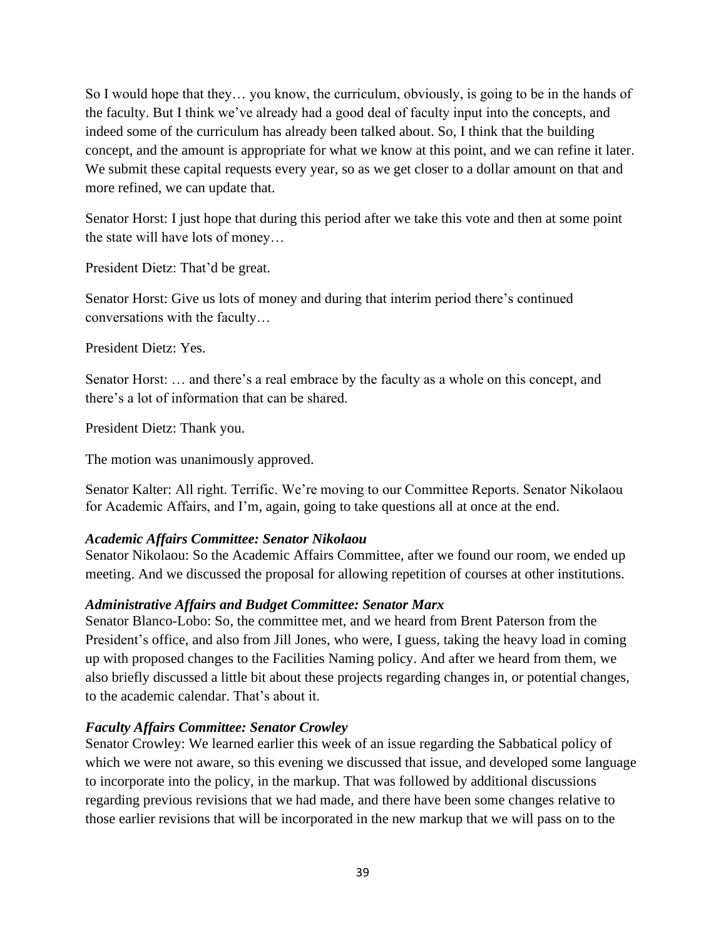So I would hope that they… you know, the curriculum, obviously, is going to be in the hands of the faculty. But I think we've already had a good deal of faculty input into the concepts, and indeed some of the curriculum has already been talked about. So, I think that the building concept, and the amount is appropriate for what we know at this point, and we can refine it later. We submit these capital requests every year, so as we get closer to a dollar amount on that and more refined, we can update that.

Senator Horst: I just hope that during this period after we take this vote and then at some point the state will have lots of money…

President Dietz: That'd be great.

Senator Horst: Give us lots of money and during that interim period there's continued conversations with the faculty…

President Dietz: Yes.

Senator Horst: … and there's a real embrace by the faculty as a whole on this concept, and there's a lot of information that can be shared.

President Dietz: Thank you.

The motion was unanimously approved.

Senator Kalter: All right. Terrific. We're moving to our Committee Reports. Senator Nikolaou for Academic Affairs, and I'm, again, going to take questions all at once at the end.

### *Academic Affairs Committee: Senator Nikolaou*

Senator Nikolaou: So the Academic Affairs Committee, after we found our room, we ended up meeting. And we discussed the proposal for allowing repetition of courses at other institutions.

# *Administrative Affairs and Budget Committee: Senator Marx*

Senator Blanco-Lobo: So, the committee met, and we heard from Brent Paterson from the President's office, and also from Jill Jones, who were, I guess, taking the heavy load in coming up with proposed changes to the Facilities Naming policy. And after we heard from them, we also briefly discussed a little bit about these projects regarding changes in, or potential changes, to the academic calendar. That's about it.

# *Faculty Affairs Committee: Senator Crowley*

Senator Crowley: We learned earlier this week of an issue regarding the Sabbatical policy of which we were not aware, so this evening we discussed that issue, and developed some language to incorporate into the policy, in the markup. That was followed by additional discussions regarding previous revisions that we had made, and there have been some changes relative to those earlier revisions that will be incorporated in the new markup that we will pass on to the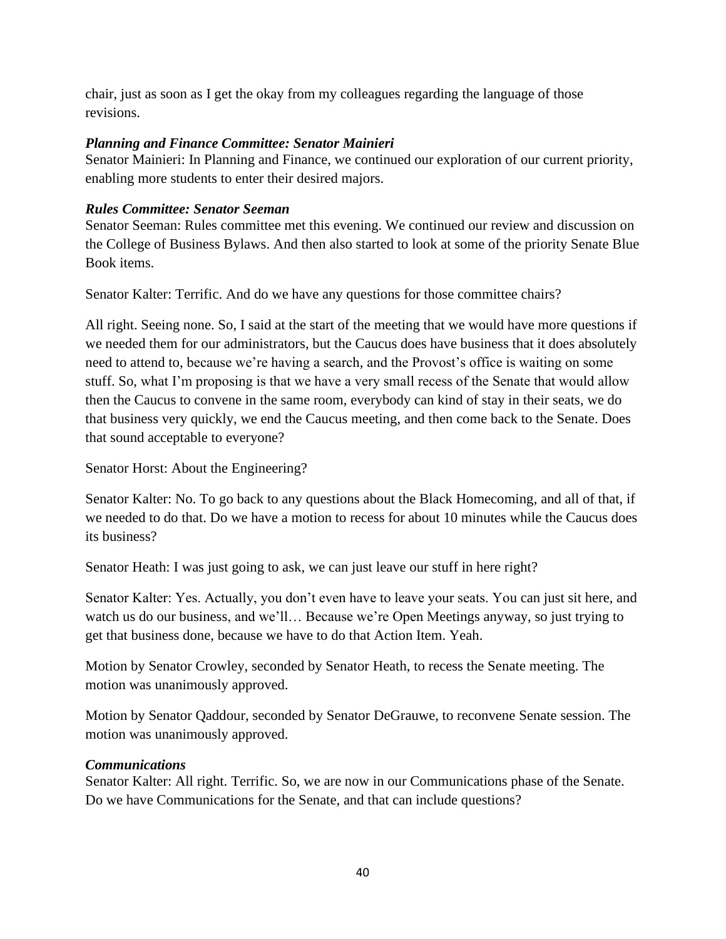chair, just as soon as I get the okay from my colleagues regarding the language of those revisions.

# *Planning and Finance Committee: Senator Mainieri*

Senator Mainieri: In Planning and Finance, we continued our exploration of our current priority, enabling more students to enter their desired majors.

# *Rules Committee: Senator Seeman*

Senator Seeman: Rules committee met this evening. We continued our review and discussion on the College of Business Bylaws. And then also started to look at some of the priority Senate Blue Book items.

Senator Kalter: Terrific. And do we have any questions for those committee chairs?

All right. Seeing none. So, I said at the start of the meeting that we would have more questions if we needed them for our administrators, but the Caucus does have business that it does absolutely need to attend to, because we're having a search, and the Provost's office is waiting on some stuff. So, what I'm proposing is that we have a very small recess of the Senate that would allow then the Caucus to convene in the same room, everybody can kind of stay in their seats, we do that business very quickly, we end the Caucus meeting, and then come back to the Senate. Does that sound acceptable to everyone?

Senator Horst: About the Engineering?

Senator Kalter: No. To go back to any questions about the Black Homecoming, and all of that, if we needed to do that. Do we have a motion to recess for about 10 minutes while the Caucus does its business?

Senator Heath: I was just going to ask, we can just leave our stuff in here right?

Senator Kalter: Yes. Actually, you don't even have to leave your seats. You can just sit here, and watch us do our business, and we'll… Because we're Open Meetings anyway, so just trying to get that business done, because we have to do that Action Item. Yeah.

Motion by Senator Crowley, seconded by Senator Heath, to recess the Senate meeting. The motion was unanimously approved.

Motion by Senator Qaddour, seconded by Senator DeGrauwe, to reconvene Senate session. The motion was unanimously approved.

# *Communications*

Senator Kalter: All right. Terrific. So, we are now in our Communications phase of the Senate. Do we have Communications for the Senate, and that can include questions?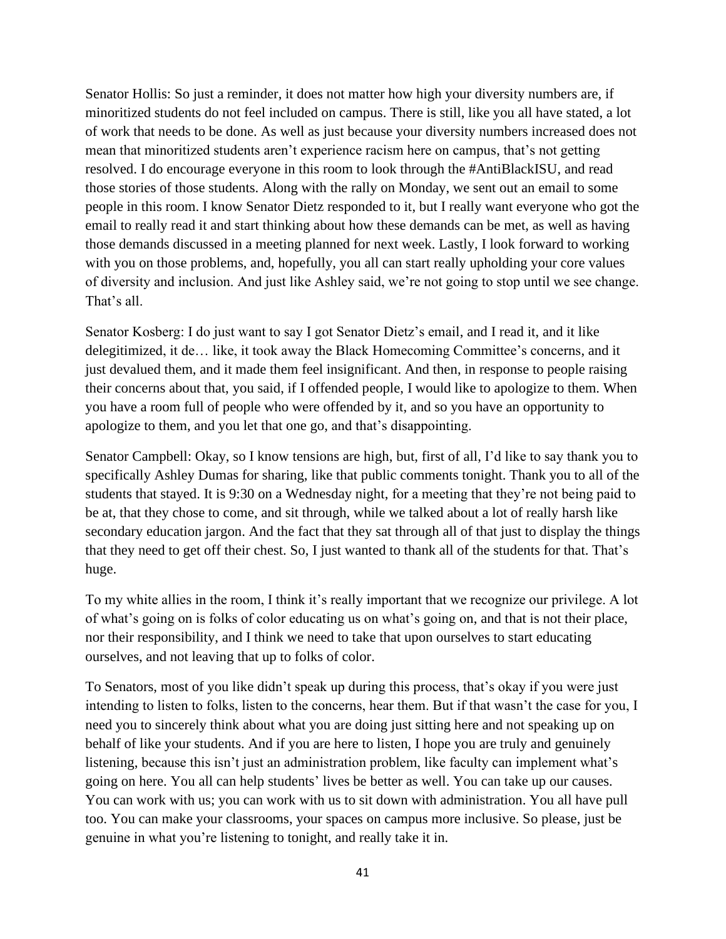Senator Hollis: So just a reminder, it does not matter how high your diversity numbers are, if minoritized students do not feel included on campus. There is still, like you all have stated, a lot of work that needs to be done. As well as just because your diversity numbers increased does not mean that minoritized students aren't experience racism here on campus, that's not getting resolved. I do encourage everyone in this room to look through the #AntiBlackISU, and read those stories of those students. Along with the rally on Monday, we sent out an email to some people in this room. I know Senator Dietz responded to it, but I really want everyone who got the email to really read it and start thinking about how these demands can be met, as well as having those demands discussed in a meeting planned for next week. Lastly, I look forward to working with you on those problems, and, hopefully, you all can start really upholding your core values of diversity and inclusion. And just like Ashley said, we're not going to stop until we see change. That's all.

Senator Kosberg: I do just want to say I got Senator Dietz's email, and I read it, and it like delegitimized, it de… like, it took away the Black Homecoming Committee's concerns, and it just devalued them, and it made them feel insignificant. And then, in response to people raising their concerns about that, you said, if I offended people, I would like to apologize to them. When you have a room full of people who were offended by it, and so you have an opportunity to apologize to them, and you let that one go, and that's disappointing.

Senator Campbell: Okay, so I know tensions are high, but, first of all, I'd like to say thank you to specifically Ashley Dumas for sharing, like that public comments tonight. Thank you to all of the students that stayed. It is 9:30 on a Wednesday night, for a meeting that they're not being paid to be at, that they chose to come, and sit through, while we talked about a lot of really harsh like secondary education jargon. And the fact that they sat through all of that just to display the things that they need to get off their chest. So, I just wanted to thank all of the students for that. That's huge.

To my white allies in the room, I think it's really important that we recognize our privilege. A lot of what's going on is folks of color educating us on what's going on, and that is not their place, nor their responsibility, and I think we need to take that upon ourselves to start educating ourselves, and not leaving that up to folks of color.

To Senators, most of you like didn't speak up during this process, that's okay if you were just intending to listen to folks, listen to the concerns, hear them. But if that wasn't the case for you, I need you to sincerely think about what you are doing just sitting here and not speaking up on behalf of like your students. And if you are here to listen, I hope you are truly and genuinely listening, because this isn't just an administration problem, like faculty can implement what's going on here. You all can help students' lives be better as well. You can take up our causes. You can work with us; you can work with us to sit down with administration. You all have pull too. You can make your classrooms, your spaces on campus more inclusive. So please, just be genuine in what you're listening to tonight, and really take it in.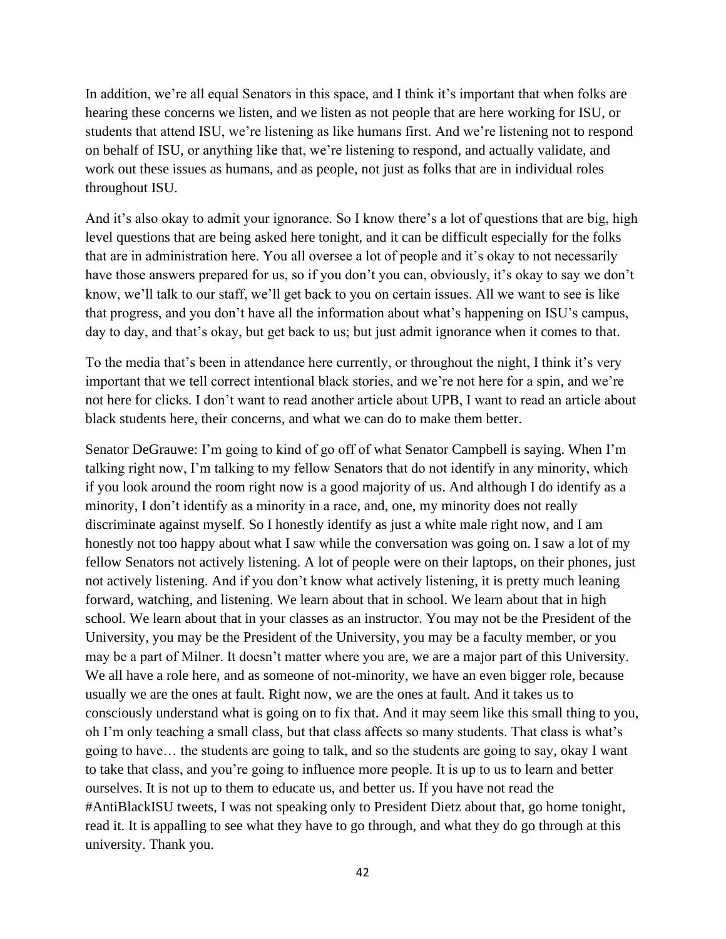In addition, we're all equal Senators in this space, and I think it's important that when folks are hearing these concerns we listen, and we listen as not people that are here working for ISU, or students that attend ISU, we're listening as like humans first. And we're listening not to respond on behalf of ISU, or anything like that, we're listening to respond, and actually validate, and work out these issues as humans, and as people, not just as folks that are in individual roles throughout ISU.

And it's also okay to admit your ignorance. So I know there's a lot of questions that are big, high level questions that are being asked here tonight, and it can be difficult especially for the folks that are in administration here. You all oversee a lot of people and it's okay to not necessarily have those answers prepared for us, so if you don't you can, obviously, it's okay to say we don't know, we'll talk to our staff, we'll get back to you on certain issues. All we want to see is like that progress, and you don't have all the information about what's happening on ISU's campus, day to day, and that's okay, but get back to us; but just admit ignorance when it comes to that.

To the media that's been in attendance here currently, or throughout the night, I think it's very important that we tell correct intentional black stories, and we're not here for a spin, and we're not here for clicks. I don't want to read another article about UPB, I want to read an article about black students here, their concerns, and what we can do to make them better.

Senator DeGrauwe: I'm going to kind of go off of what Senator Campbell is saying. When I'm talking right now, I'm talking to my fellow Senators that do not identify in any minority, which if you look around the room right now is a good majority of us. And although I do identify as a minority, I don't identify as a minority in a race, and, one, my minority does not really discriminate against myself. So I honestly identify as just a white male right now, and I am honestly not too happy about what I saw while the conversation was going on. I saw a lot of my fellow Senators not actively listening. A lot of people were on their laptops, on their phones, just not actively listening. And if you don't know what actively listening, it is pretty much leaning forward, watching, and listening. We learn about that in school. We learn about that in high school. We learn about that in your classes as an instructor. You may not be the President of the University, you may be the President of the University, you may be a faculty member, or you may be a part of Milner. It doesn't matter where you are, we are a major part of this University. We all have a role here, and as someone of not-minority, we have an even bigger role, because usually we are the ones at fault. Right now, we are the ones at fault. And it takes us to consciously understand what is going on to fix that. And it may seem like this small thing to you, oh I'm only teaching a small class, but that class affects so many students. That class is what's going to have… the students are going to talk, and so the students are going to say, okay I want to take that class, and you're going to influence more people. It is up to us to learn and better ourselves. It is not up to them to educate us, and better us. If you have not read the #AntiBlackISU tweets, I was not speaking only to President Dietz about that, go home tonight, read it. It is appalling to see what they have to go through, and what they do go through at this university. Thank you.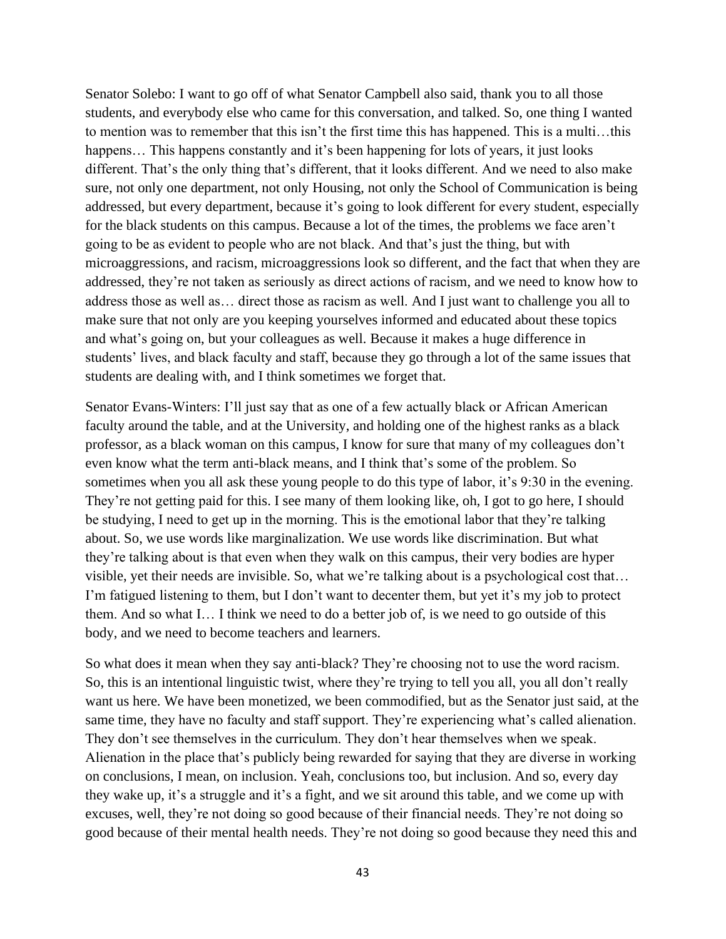Senator Solebo: I want to go off of what Senator Campbell also said, thank you to all those students, and everybody else who came for this conversation, and talked. So, one thing I wanted to mention was to remember that this isn't the first time this has happened. This is a multi…this happens... This happens constantly and it's been happening for lots of years, it just looks different. That's the only thing that's different, that it looks different. And we need to also make sure, not only one department, not only Housing, not only the School of Communication is being addressed, but every department, because it's going to look different for every student, especially for the black students on this campus. Because a lot of the times, the problems we face aren't going to be as evident to people who are not black. And that's just the thing, but with microaggressions, and racism, microaggressions look so different, and the fact that when they are addressed, they're not taken as seriously as direct actions of racism, and we need to know how to address those as well as… direct those as racism as well. And I just want to challenge you all to make sure that not only are you keeping yourselves informed and educated about these topics and what's going on, but your colleagues as well. Because it makes a huge difference in students' lives, and black faculty and staff, because they go through a lot of the same issues that students are dealing with, and I think sometimes we forget that.

Senator Evans-Winters: I'll just say that as one of a few actually black or African American faculty around the table, and at the University, and holding one of the highest ranks as a black professor, as a black woman on this campus, I know for sure that many of my colleagues don't even know what the term anti-black means, and I think that's some of the problem. So sometimes when you all ask these young people to do this type of labor, it's 9:30 in the evening. They're not getting paid for this. I see many of them looking like, oh, I got to go here, I should be studying, I need to get up in the morning. This is the emotional labor that they're talking about. So, we use words like marginalization. We use words like discrimination. But what they're talking about is that even when they walk on this campus, their very bodies are hyper visible, yet their needs are invisible. So, what we're talking about is a psychological cost that… I'm fatigued listening to them, but I don't want to decenter them, but yet it's my job to protect them. And so what I… I think we need to do a better job of, is we need to go outside of this body, and we need to become teachers and learners.

So what does it mean when they say anti-black? They're choosing not to use the word racism. So, this is an intentional linguistic twist, where they're trying to tell you all, you all don't really want us here. We have been monetized, we been commodified, but as the Senator just said, at the same time, they have no faculty and staff support. They're experiencing what's called alienation. They don't see themselves in the curriculum. They don't hear themselves when we speak. Alienation in the place that's publicly being rewarded for saying that they are diverse in working on conclusions, I mean, on inclusion. Yeah, conclusions too, but inclusion. And so, every day they wake up, it's a struggle and it's a fight, and we sit around this table, and we come up with excuses, well, they're not doing so good because of their financial needs. They're not doing so good because of their mental health needs. They're not doing so good because they need this and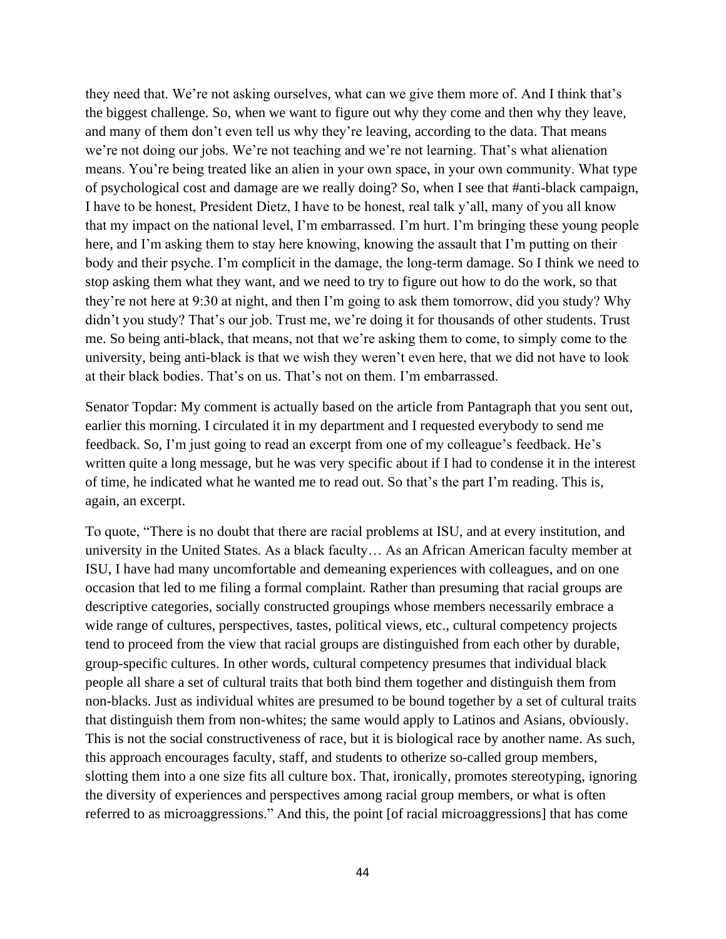they need that. We're not asking ourselves, what can we give them more of. And I think that's the biggest challenge. So, when we want to figure out why they come and then why they leave, and many of them don't even tell us why they're leaving, according to the data. That means we're not doing our jobs. We're not teaching and we're not learning. That's what alienation means. You're being treated like an alien in your own space, in your own community. What type of psychological cost and damage are we really doing? So, when I see that #anti-black campaign, I have to be honest, President Dietz, I have to be honest, real talk y'all, many of you all know that my impact on the national level, I'm embarrassed. I'm hurt. I'm bringing these young people here, and I'm asking them to stay here knowing, knowing the assault that I'm putting on their body and their psyche. I'm complicit in the damage, the long-term damage. So I think we need to stop asking them what they want, and we need to try to figure out how to do the work, so that they're not here at 9:30 at night, and then I'm going to ask them tomorrow, did you study? Why didn't you study? That's our job. Trust me, we're doing it for thousands of other students. Trust me. So being anti-black, that means, not that we're asking them to come, to simply come to the university, being anti-black is that we wish they weren't even here, that we did not have to look at their black bodies. That's on us. That's not on them. I'm embarrassed.

Senator Topdar: My comment is actually based on the article from Pantagraph that you sent out, earlier this morning. I circulated it in my department and I requested everybody to send me feedback. So, I'm just going to read an excerpt from one of my colleague's feedback. He's written quite a long message, but he was very specific about if I had to condense it in the interest of time, he indicated what he wanted me to read out. So that's the part I'm reading. This is, again, an excerpt.

To quote, "There is no doubt that there are racial problems at ISU, and at every institution, and university in the United States. As a black faculty… As an African American faculty member at ISU, I have had many uncomfortable and demeaning experiences with colleagues, and on one occasion that led to me filing a formal complaint. Rather than presuming that racial groups are descriptive categories, socially constructed groupings whose members necessarily embrace a wide range of cultures, perspectives, tastes, political views, etc., cultural competency projects tend to proceed from the view that racial groups are distinguished from each other by durable, group-specific cultures. In other words, cultural competency presumes that individual black people all share a set of cultural traits that both bind them together and distinguish them from non-blacks. Just as individual whites are presumed to be bound together by a set of cultural traits that distinguish them from non-whites; the same would apply to Latinos and Asians, obviously. This is not the social constructiveness of race, but it is biological race by another name. As such, this approach encourages faculty, staff, and students to otherize so-called group members, slotting them into a one size fits all culture box. That, ironically, promotes stereotyping, ignoring the diversity of experiences and perspectives among racial group members, or what is often referred to as microaggressions." And this, the point [of racial microaggressions] that has come